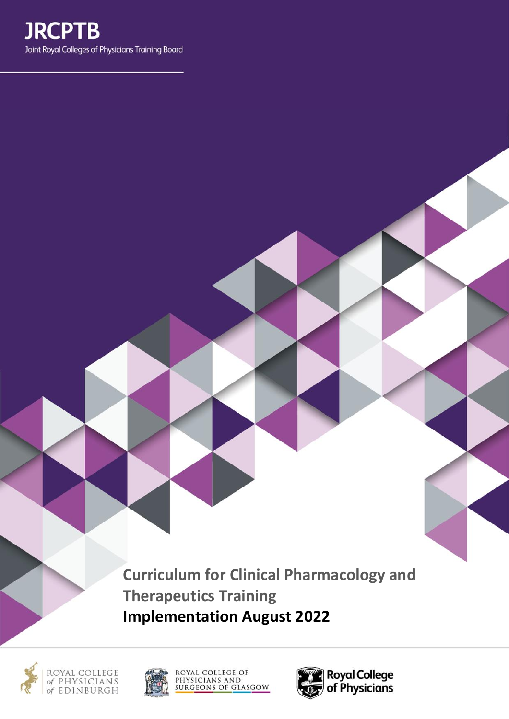**Curriculum for Clinical Pharmacology and Therapeutics Training Implementation August 2022**







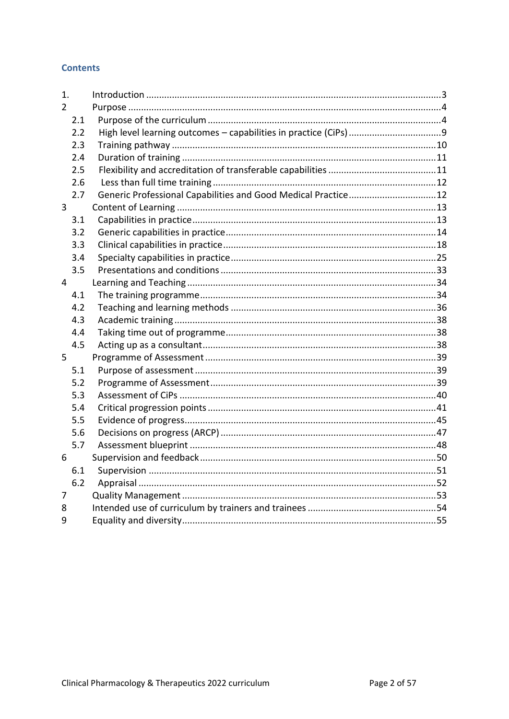# **Contents**

| 1.            |                                                               |  |
|---------------|---------------------------------------------------------------|--|
| $\mathcal{P}$ |                                                               |  |
| 2.1           |                                                               |  |
| 2.2           |                                                               |  |
| 2.3           |                                                               |  |
| 2.4           |                                                               |  |
| 2.5           |                                                               |  |
| 2.6           |                                                               |  |
| 2.7           | Generic Professional Capabilities and Good Medical Practice12 |  |
| 3             |                                                               |  |
| 3.1           |                                                               |  |
| 3.2           |                                                               |  |
| 3.3           |                                                               |  |
| 3.4           |                                                               |  |
| 3.5           |                                                               |  |
| 4             |                                                               |  |
| 4.1           |                                                               |  |
| 4.2           |                                                               |  |
| 4.3           |                                                               |  |
| 4.4           |                                                               |  |
| 4.5           |                                                               |  |
| 5             |                                                               |  |
| 5.1           |                                                               |  |
| 5.2           |                                                               |  |
| 5.3           |                                                               |  |
| 5.4           |                                                               |  |
| 5.5           |                                                               |  |
| 5.6           |                                                               |  |
| 5.7           |                                                               |  |
| 6             |                                                               |  |
| 6.1           |                                                               |  |
| 6.2           |                                                               |  |
| 7             |                                                               |  |
| 8             |                                                               |  |
| 9             |                                                               |  |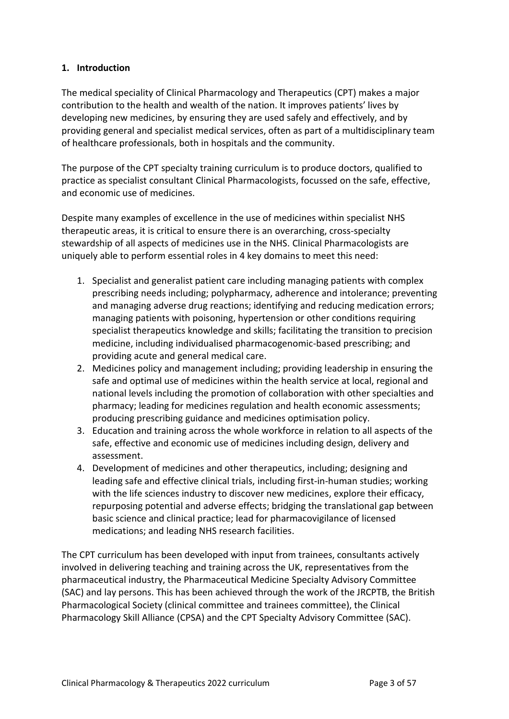# <span id="page-2-0"></span>**1. Introduction**

The medical speciality of Clinical Pharmacology and Therapeutics (CPT) makes a major contribution to the health and wealth of the nation. It improves patients' lives by developing new medicines, by ensuring they are used safely and effectively, and by providing general and specialist medical services, often as part of a multidisciplinary team of healthcare professionals, both in hospitals and the community.

The purpose of the CPT specialty training curriculum is to produce doctors, qualified to practice as specialist consultant Clinical Pharmacologists, focussed on the safe, effective, and economic use of medicines.

Despite many examples of excellence in the use of medicines within specialist NHS therapeutic areas, it is critical to ensure there is an overarching, cross-specialty stewardship of all aspects of medicines use in the NHS. Clinical Pharmacologists are uniquely able to perform essential roles in 4 key domains to meet this need:

- 1. Specialist and generalist patient care including managing patients with complex prescribing needs including; polypharmacy, adherence and intolerance; preventing and managing adverse drug reactions; identifying and reducing medication errors; managing patients with poisoning, hypertension or other conditions requiring specialist therapeutics knowledge and skills; facilitating the transition to precision medicine, including individualised pharmacogenomic-based prescribing; and providing acute and general medical care.
- 2. Medicines policy and management including; providing leadership in ensuring the safe and optimal use of medicines within the health service at local, regional and national levels including the promotion of collaboration with other specialties and pharmacy; leading for medicines regulation and health economic assessments; producing prescribing guidance and medicines optimisation policy.
- 3. Education and training across the whole workforce in relation to all aspects of the safe, effective and economic use of medicines including design, delivery and assessment.
- 4. Development of medicines and other therapeutics, including; designing and leading safe and effective clinical trials, including first-in-human studies; working with the life sciences industry to discover new medicines, explore their efficacy, repurposing potential and adverse effects; bridging the translational gap between basic science and clinical practice; lead for pharmacovigilance of licensed medications; and leading NHS research facilities.

The CPT curriculum has been developed with input from trainees, consultants actively involved in delivering teaching and training across the UK, representatives from the pharmaceutical industry, the Pharmaceutical Medicine Specialty Advisory Committee (SAC) and lay persons. This has been achieved through the work of the JRCPTB, the British Pharmacological Society (clinical committee and trainees committee), the Clinical Pharmacology Skill Alliance (CPSA) and the CPT Specialty Advisory Committee (SAC).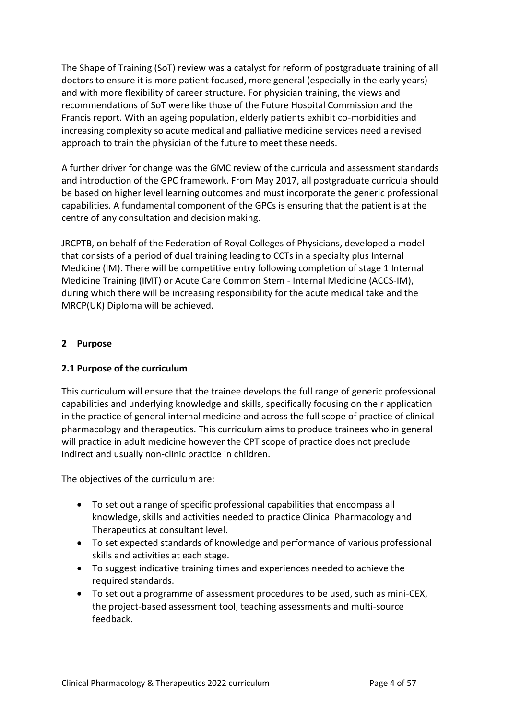The Shape of Training (SoT) review was a catalyst for reform of postgraduate training of all doctors to ensure it is more patient focused, more general (especially in the early years) and with more flexibility of career structure. For physician training, the views and recommendations of SoT were like those of the Future Hospital Commission and the Francis report. With an ageing population, elderly patients exhibit co-morbidities and increasing complexity so acute medical and palliative medicine services need a revised approach to train the physician of the future to meet these needs.

A further driver for change was the GMC review of the curricula and assessment standards and introduction of the GPC framework. From May 2017, all postgraduate curricula should be based on higher level learning outcomes and must incorporate the generic professional capabilities. A fundamental component of the GPCs is ensuring that the patient is at the centre of any consultation and decision making.

JRCPTB, on behalf of the Federation of Royal Colleges of Physicians, developed a model that consists of a period of dual training leading to CCTs in a specialty plus Internal Medicine (IM). There will be competitive entry following completion of stage 1 Internal Medicine Training (IMT) or Acute Care Common Stem - Internal Medicine (ACCS-IM), during which there will be increasing responsibility for the acute medical take and the MRCP(UK) Diploma will be achieved.

# <span id="page-3-0"></span>**2 Purpose**

# <span id="page-3-1"></span>**2.1 Purpose of the curriculum**

This curriculum will ensure that the trainee develops the full range of generic professional capabilities and underlying knowledge and skills, specifically focusing on their application in the practice of general internal medicine and across the full scope of practice of clinical pharmacology and therapeutics. This curriculum aims to produce trainees who in general will practice in adult medicine however the CPT scope of practice does not preclude indirect and usually non-clinic practice in children.

The objectives of the curriculum are:

- To set out a range of specific professional capabilities that encompass all knowledge, skills and activities needed to practice Clinical Pharmacology and Therapeutics at consultant level.
- To set expected standards of knowledge and performance of various professional skills and activities at each stage.
- To suggest indicative training times and experiences needed to achieve the required standards.
- To set out a programme of assessment procedures to be used, such as mini-CEX, the project-based assessment tool, teaching assessments and multi-source feedback.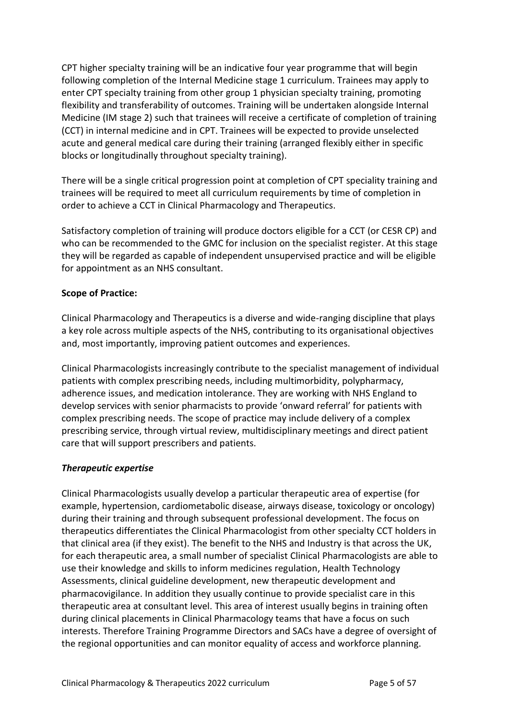CPT higher specialty training will be an indicative four year programme that will begin following completion of the Internal Medicine stage 1 curriculum. Trainees may apply to enter CPT specialty training from other group 1 physician specialty training, promoting flexibility and transferability of outcomes. Training will be undertaken alongside Internal Medicine (IM stage 2) such that trainees will receive a certificate of completion of training (CCT) in internal medicine and in CPT. Trainees will be expected to provide unselected acute and general medical care during their training (arranged flexibly either in specific blocks or longitudinally throughout specialty training).

There will be a single critical progression point at completion of CPT speciality training and trainees will be required to meet all curriculum requirements by time of completion in order to achieve a CCT in Clinical Pharmacology and Therapeutics.

Satisfactory completion of training will produce doctors eligible for a CCT (or CESR CP) and who can be recommended to the GMC for inclusion on the specialist register. At this stage they will be regarded as capable of independent unsupervised practice and will be eligible for appointment as an NHS consultant.

# **Scope of Practice:**

Clinical Pharmacology and Therapeutics is a diverse and wide-ranging discipline that plays a key role across multiple aspects of the NHS, contributing to its organisational objectives and, most importantly, improving patient outcomes and experiences.

Clinical Pharmacologists increasingly contribute to the specialist management of individual patients with complex prescribing needs, including multimorbidity, polypharmacy, adherence issues, and medication intolerance. They are working with NHS England to develop services with senior pharmacists to provide 'onward referral' for patients with complex prescribing needs. The scope of practice may include delivery of a complex prescribing service, through virtual review, multidisciplinary meetings and direct patient care that will support prescribers and patients.

# *Therapeutic expertise*

Clinical Pharmacologists usually develop a particular therapeutic area of expertise (for example, hypertension, cardiometabolic disease, airways disease, toxicology or oncology) during their training and through subsequent professional development. The focus on therapeutics differentiates the Clinical Pharmacologist from other specialty CCT holders in that clinical area (if they exist). The benefit to the NHS and Industry is that across the UK, for each therapeutic area, a small number of specialist Clinical Pharmacologists are able to use their knowledge and skills to inform medicines regulation, Health Technology Assessments, clinical guideline development, new therapeutic development and pharmacovigilance. In addition they usually continue to provide specialist care in this therapeutic area at consultant level. This area of interest usually begins in training often during clinical placements in Clinical Pharmacology teams that have a focus on such interests. Therefore Training Programme Directors and SACs have a degree of oversight of the regional opportunities and can monitor equality of access and workforce planning.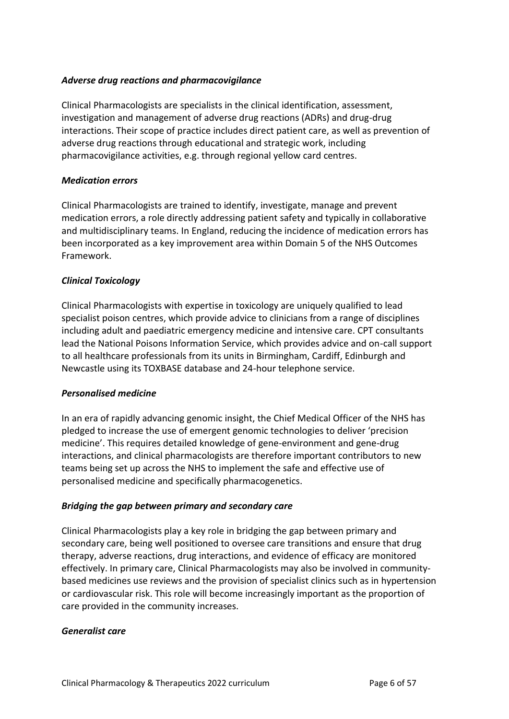## *Adverse drug reactions and pharmacovigilance*

Clinical Pharmacologists are specialists in the clinical identification, assessment, investigation and management of adverse drug reactions (ADRs) and drug-drug interactions. Their scope of practice includes direct patient care, as well as prevention of adverse drug reactions through educational and strategic work, including pharmacovigilance activities, e.g. through regional yellow card centres.

## *Medication errors*

Clinical Pharmacologists are trained to identify, investigate, manage and prevent medication errors, a role directly addressing patient safety and typically in collaborative and multidisciplinary teams. In England, reducing the incidence of medication errors has been incorporated as a key improvement area within Domain 5 of the NHS Outcomes Framework.

## *Clinical Toxicology*

Clinical Pharmacologists with expertise in toxicology are uniquely qualified to lead specialist poison centres, which provide advice to clinicians from a range of disciplines including adult and paediatric emergency medicine and intensive care. CPT consultants lead the National Poisons Information Service, which provides advice and on-call support to all healthcare professionals from its units in Birmingham, Cardiff, Edinburgh and Newcastle using its TOXBASE database and 24-hour telephone service.

## *Personalised medicine*

In an era of rapidly advancing genomic insight, the Chief Medical Officer of the NHS has pledged to increase the use of emergent genomic technologies to deliver 'precision medicine'. This requires detailed knowledge of gene-environment and gene-drug interactions, and clinical pharmacologists are therefore important contributors to new teams being set up across the NHS to implement the safe and effective use of personalised medicine and specifically pharmacogenetics.

## *Bridging the gap between primary and secondary care*

Clinical Pharmacologists play a key role in bridging the gap between primary and secondary care, being well positioned to oversee care transitions and ensure that drug therapy, adverse reactions, drug interactions, and evidence of efficacy are monitored effectively. In primary care, Clinical Pharmacologists may also be involved in communitybased medicines use reviews and the provision of specialist clinics such as in hypertension or cardiovascular risk. This role will become increasingly important as the proportion of care provided in the community increases.

## *Generalist care*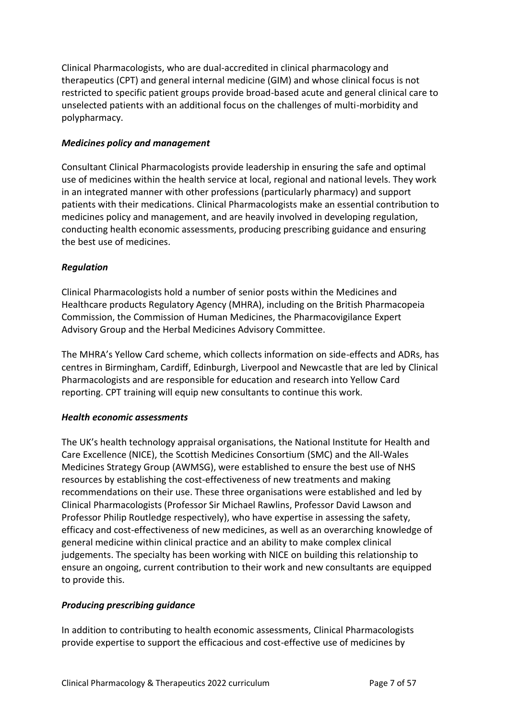Clinical Pharmacologists, who are dual-accredited in clinical pharmacology and therapeutics (CPT) and general internal medicine (GIM) and whose clinical focus is not restricted to specific patient groups provide broad-based acute and general clinical care to unselected patients with an additional focus on the challenges of multi-morbidity and polypharmacy.

## *Medicines policy and management*

Consultant Clinical Pharmacologists provide leadership in ensuring the safe and optimal use of medicines within the health service at local, regional and national levels. They work in an integrated manner with other professions (particularly pharmacy) and support patients with their medications. Clinical Pharmacologists make an essential contribution to medicines policy and management, and are heavily involved in developing regulation, conducting health economic assessments, producing prescribing guidance and ensuring the best use of medicines.

## *Regulation*

Clinical Pharmacologists hold a number of senior posts within the Medicines and Healthcare products Regulatory Agency (MHRA), including on the British Pharmacopeia Commission, the Commission of Human Medicines, the Pharmacovigilance Expert Advisory Group and the Herbal Medicines Advisory Committee.

The MHRA's Yellow Card scheme, which collects information on side-effects and ADRs, has centres in Birmingham, Cardiff, Edinburgh, Liverpool and Newcastle that are led by Clinical Pharmacologists and are responsible for education and research into Yellow Card reporting. CPT training will equip new consultants to continue this work.

# *Health economic assessments*

The UK's health technology appraisal organisations, the National Institute for Health and Care Excellence (NICE), the Scottish Medicines Consortium (SMC) and the All-Wales Medicines Strategy Group (AWMSG), were established to ensure the best use of NHS resources by establishing the cost-effectiveness of new treatments and making recommendations on their use. These three organisations were established and led by Clinical Pharmacologists (Professor Sir Michael Rawlins, Professor David Lawson and Professor Philip Routledge respectively), who have expertise in assessing the safety, efficacy and cost-effectiveness of new medicines, as well as an overarching knowledge of general medicine within clinical practice and an ability to make complex clinical judgements. The specialty has been working with NICE on building this relationship to ensure an ongoing, current contribution to their work and new consultants are equipped to provide this.

## *Producing prescribing guidance*

In addition to contributing to health economic assessments, Clinical Pharmacologists provide expertise to support the efficacious and cost-effective use of medicines by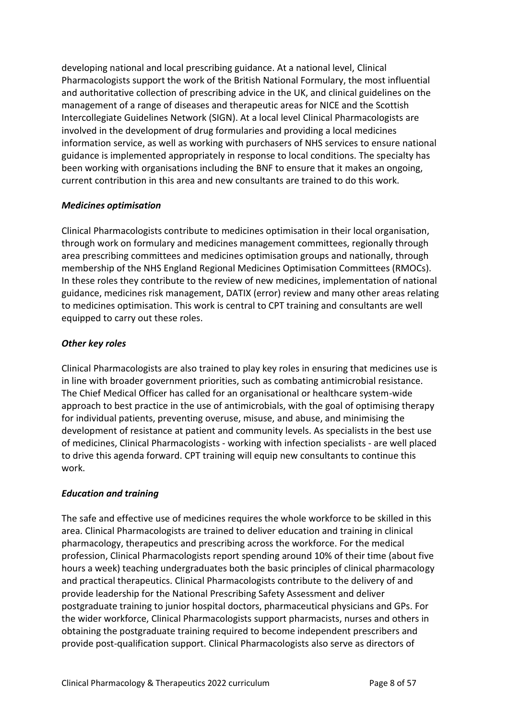developing national and local prescribing guidance. At a national level, Clinical Pharmacologists support the work of the British National Formulary, the most influential and authoritative collection of prescribing advice in the UK, and clinical guidelines on the management of a range of diseases and therapeutic areas for NICE and the Scottish Intercollegiate Guidelines Network (SIGN). At a local level Clinical Pharmacologists are involved in the development of drug formularies and providing a local medicines information service, as well as working with purchasers of NHS services to ensure national guidance is implemented appropriately in response to local conditions. The specialty has been working with organisations including the BNF to ensure that it makes an ongoing, current contribution in this area and new consultants are trained to do this work.

# *Medicines optimisation*

Clinical Pharmacologists contribute to medicines optimisation in their local organisation, through work on formulary and medicines management committees, regionally through area prescribing committees and medicines optimisation groups and nationally, through membership of the NHS England Regional Medicines Optimisation Committees (RMOCs). In these roles they contribute to the review of new medicines, implementation of national guidance, medicines risk management, DATIX (error) review and many other areas relating to medicines optimisation. This work is central to CPT training and consultants are well equipped to carry out these roles.

# *Other key roles*

Clinical Pharmacologists are also trained to play key roles in ensuring that medicines use is in line with broader government priorities, such as combating antimicrobial resistance. The Chief Medical Officer has called for an organisational or healthcare system-wide approach to best practice in the use of antimicrobials, with the goal of optimising therapy for individual patients, preventing overuse, misuse, and abuse, and minimising the development of resistance at patient and community levels. As specialists in the best use of medicines, Clinical Pharmacologists - working with infection specialists - are well placed to drive this agenda forward. CPT training will equip new consultants to continue this work.

# *Education and training*

The safe and effective use of medicines requires the whole workforce to be skilled in this area. Clinical Pharmacologists are trained to deliver education and training in clinical pharmacology, therapeutics and prescribing across the workforce. For the medical profession, Clinical Pharmacologists report spending around 10% of their time (about five hours a week) teaching undergraduates both the basic principles of clinical pharmacology and practical therapeutics. Clinical Pharmacologists contribute to the delivery of and provide leadership for the National Prescribing Safety Assessment and deliver postgraduate training to junior hospital doctors, pharmaceutical physicians and GPs. For the wider workforce, Clinical Pharmacologists support pharmacists, nurses and others in obtaining the postgraduate training required to become independent prescribers and provide post-qualification support. Clinical Pharmacologists also serve as directors of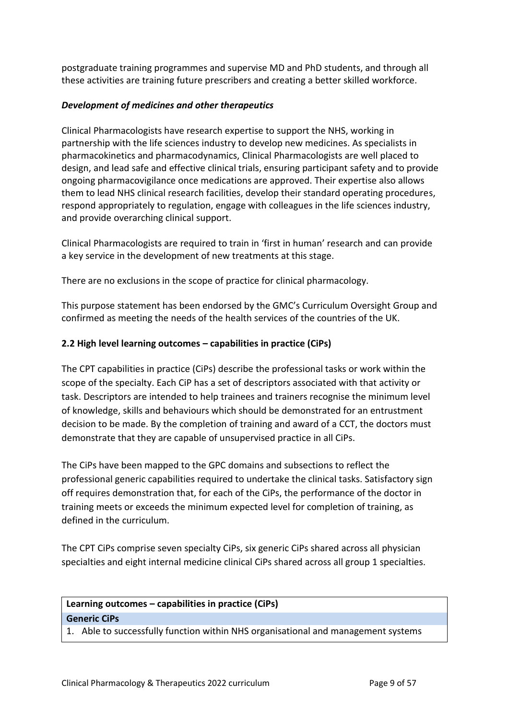postgraduate training programmes and supervise MD and PhD students, and through all these activities are training future prescribers and creating a better skilled workforce.

# *Development of medicines and other therapeutics*

Clinical Pharmacologists have research expertise to support the NHS, working in partnership with the life sciences industry to develop new medicines. As specialists in pharmacokinetics and pharmacodynamics, Clinical Pharmacologists are well placed to design, and lead safe and effective clinical trials, ensuring participant safety and to provide ongoing pharmacovigilance once medications are approved. Their expertise also allows them to lead NHS clinical research facilities, develop their standard operating procedures, respond appropriately to regulation, engage with colleagues in the life sciences industry, and provide overarching clinical support.

Clinical Pharmacologists are required to train in 'first in human' research and can provide a key service in the development of new treatments at this stage.

There are no exclusions in the scope of practice for clinical pharmacology.

This purpose statement has been endorsed by the GMC's Curriculum Oversight Group and confirmed as meeting the needs of the health services of the countries of the UK.

## <span id="page-8-0"></span>**2.2 High level learning outcomes – capabilities in practice (CiPs)**

The CPT capabilities in practice (CiPs) describe the professional tasks or work within the scope of the specialty. Each CiP has a set of descriptors associated with that activity or task. Descriptors are intended to help trainees and trainers recognise the minimum level of knowledge, skills and behaviours which should be demonstrated for an entrustment decision to be made. By the completion of training and award of a CCT, the doctors must demonstrate that they are capable of unsupervised practice in all CiPs.

The CiPs have been mapped to the GPC domains and subsections to reflect the professional generic capabilities required to undertake the clinical tasks. Satisfactory sign off requires demonstration that, for each of the CiPs, the performance of the doctor in training meets or exceeds the minimum expected level for completion of training, as defined in the curriculum.

The CPT CiPs comprise seven specialty CiPs, six generic CiPs shared across all physician specialties and eight internal medicine clinical CiPs shared across all group 1 specialties.

# **Learning outcomes – capabilities in practice (CiPs) Generic CiPs**

1. Able to successfully function within NHS organisational and management systems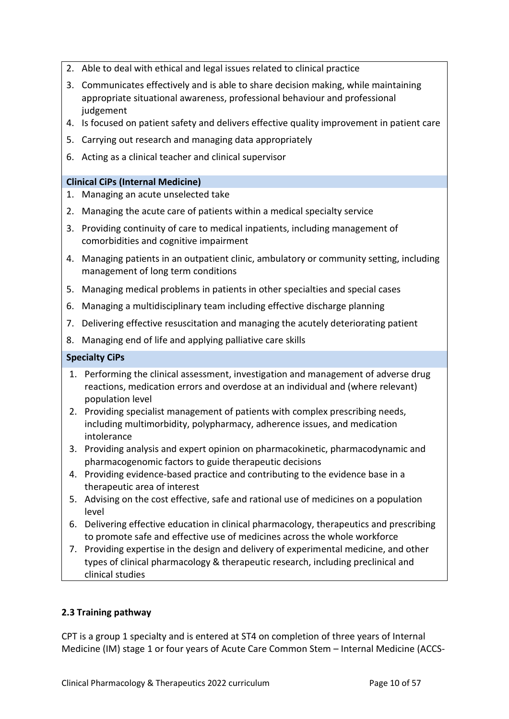- 2. Able to deal with ethical and legal issues related to clinical practice
- 3. Communicates effectively and is able to share decision making, while maintaining appropriate situational awareness, professional behaviour and professional judgement
- 4. Is focused on patient safety and delivers effective quality improvement in patient care
- 5. Carrying out research and managing data appropriately
- 6. Acting as a clinical teacher and clinical supervisor

## **Clinical CiPs (Internal Medicine)**

- 1. Managing an acute unselected take
- 2. Managing the acute care of patients within a medical specialty service
- 3. Providing continuity of care to medical inpatients, including management of comorbidities and cognitive impairment
- 4. Managing patients in an outpatient clinic, ambulatory or community setting, including management of long term conditions
- 5. Managing medical problems in patients in other specialties and special cases
- 6. Managing a multidisciplinary team including effective discharge planning
- 7. Delivering effective resuscitation and managing the acutely deteriorating patient
- 8. Managing end of life and applying palliative care skills

#### **Specialty CiPs**

- 1. Performing the clinical assessment, investigation and management of adverse drug reactions, medication errors and overdose at an individual and (where relevant) population level
- 2. Providing specialist management of patients with complex prescribing needs, including multimorbidity, polypharmacy, adherence issues, and medication intolerance
- 3. Providing analysis and expert opinion on pharmacokinetic, pharmacodynamic and pharmacogenomic factors to guide therapeutic decisions
- 4. Providing evidence-based practice and contributing to the evidence base in a therapeutic area of interest
- 5. Advising on the cost effective, safe and rational use of medicines on a population level
- 6. Delivering effective education in clinical pharmacology, therapeutics and prescribing to promote safe and effective use of medicines across the whole workforce
- 7. Providing expertise in the design and delivery of experimental medicine, and other types of clinical pharmacology & therapeutic research, including preclinical and clinical studies

## <span id="page-9-0"></span>**2.3 Training pathway**

CPT is a group 1 specialty and is entered at ST4 on completion of three years of Internal Medicine (IM) stage 1 or four years of Acute Care Common Stem – Internal Medicine (ACCS-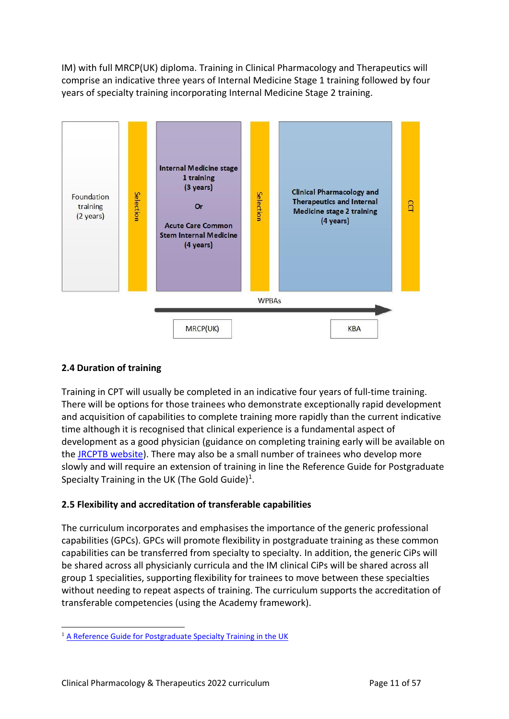IM) with full MRCP(UK) diploma. Training in Clinical Pharmacology and Therapeutics will comprise an indicative three years of Internal Medicine Stage 1 training followed by four years of specialty training incorporating Internal Medicine Stage 2 training.



# <span id="page-10-0"></span>**2.4 Duration of training**

Training in CPT will usually be completed in an indicative four years of full-time training. There will be options for those trainees who demonstrate exceptionally rapid development and acquisition of capabilities to complete training more rapidly than the current indicative time although it is recognised that clinical experience is a fundamental aspect of development as a good physician (guidance on completing training early will be available on the [JRCPTB website\)](http://www.jrcptb.org.uk/). There may also be a small number of trainees who develop more slowly and will require an extension of training in line the Reference Guide for Postgraduate Specialty Training in the UK (The Gold Guide) $^1$ .

# <span id="page-10-1"></span>**2.5 Flexibility and accreditation of transferable capabilities**

The curriculum incorporates and emphasises the importance of the generic professional capabilities (GPCs). GPCs will promote flexibility in postgraduate training as these common capabilities can be transferred from specialty to specialty. In addition, the generic CiPs will be shared across all physicianly curricula and the IM clinical CiPs will be shared across all group 1 specialities, supporting flexibility for trainees to move between these specialties without needing to repeat aspects of training. The curriculum supports the accreditation of transferable competencies (using the Academy framework).

<sup>&</sup>lt;sup>1</sup> [A Reference Guide for Postgraduate Specialty Training in the UK](https://www.copmed.org.uk/publications/the-gold-guide)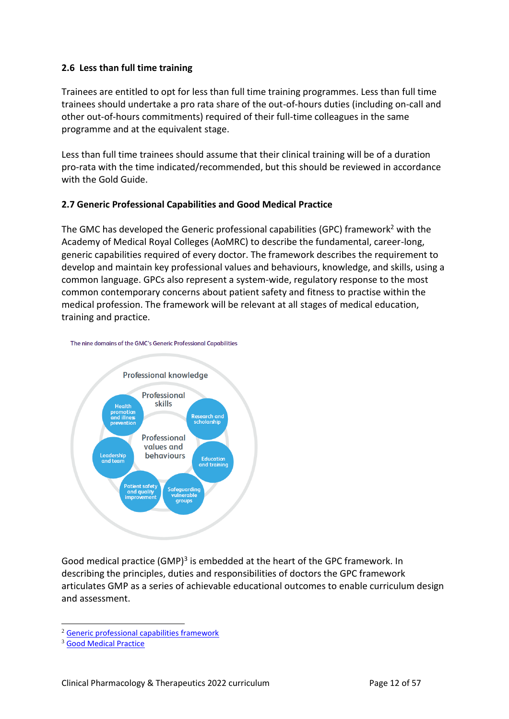## <span id="page-11-0"></span>**2.6 Less than full time training**

Trainees are entitled to opt for less than full time training programmes. Less than full time trainees should undertake a pro rata share of the out-of-hours duties (including on-call and other out-of-hours commitments) required of their full-time colleagues in the same programme and at the equivalent stage.

Less than full time trainees should assume that their clinical training will be of a duration pro-rata with the time indicated/recommended, but this should be reviewed in accordance with the Gold Guide.

# <span id="page-11-1"></span>**2.7 Generic Professional Capabilities and Good Medical Practice**

The GMC has developed the Generic professional capabilities (GPC) framework<sup>2</sup> with the Academy of Medical Royal Colleges (AoMRC) to describe the fundamental, career-long, generic capabilities required of every doctor. The framework describes the requirement to develop and maintain key professional values and behaviours, knowledge, and skills, using a common language. GPCs also represent a system-wide, regulatory response to the most common contemporary concerns about patient safety and fitness to practise within the medical profession. The framework will be relevant at all stages of medical education, training and practice.





Good medical practice (GMP)<sup>3</sup> is embedded at the heart of the GPC framework. In describing the principles, duties and responsibilities of doctors the GPC framework articulates GMP as a series of achievable educational outcomes to enable curriculum design and assessment.

<sup>2</sup> [Generic professional capabilities framework](http://www.gmc-uk.org/education/postgraduate/GPC.asp)

<sup>3</sup> [Good Medical Practice](http://www.gmc-uk.org/guidance/good_medical_practice.asp)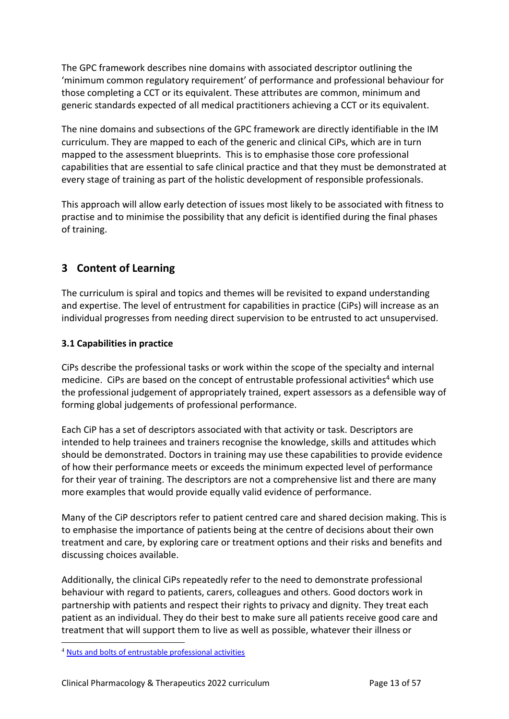The GPC framework describes nine domains with associated descriptor outlining the 'minimum common regulatory requirement' of performance and professional behaviour for those completing a CCT or its equivalent. These attributes are common, minimum and generic standards expected of all medical practitioners achieving a CCT or its equivalent.

The nine domains and subsections of the GPC framework are directly identifiable in the IM curriculum. They are mapped to each of the generic and clinical CiPs, which are in turn mapped to the assessment blueprints. This is to emphasise those core professional capabilities that are essential to safe clinical practice and that they must be demonstrated at every stage of training as part of the holistic development of responsible professionals.

This approach will allow early detection of issues most likely to be associated with fitness to practise and to minimise the possibility that any deficit is identified during the final phases of training.

# <span id="page-12-0"></span>**3 Content of Learning**

The curriculum is spiral and topics and themes will be revisited to expand understanding and expertise. The level of entrustment for capabilities in practice (CiPs) will increase as an individual progresses from needing direct supervision to be entrusted to act unsupervised.

# <span id="page-12-1"></span>**3.1 Capabilities in practice**

CiPs describe the professional tasks or work within the scope of the specialty and internal medicine. CiPs are based on the concept of entrustable professional activities<sup>4</sup> which use the professional judgement of appropriately trained, expert assessors as a defensible way of forming global judgements of professional performance.

Each CiP has a set of descriptors associated with that activity or task. Descriptors are intended to help trainees and trainers recognise the knowledge, skills and attitudes which should be demonstrated. Doctors in training may use these capabilities to provide evidence of how their performance meets or exceeds the minimum expected level of performance for their year of training. The descriptors are not a comprehensive list and there are many more examples that would provide equally valid evidence of performance.

Many of the CiP descriptors refer to patient centred care and shared decision making. This is to emphasise the importance of patients being at the centre of decisions about their own treatment and care, by exploring care or treatment options and their risks and benefits and discussing choices available.

Additionally, the clinical CiPs repeatedly refer to the need to demonstrate professional behaviour with regard to patients, carers, colleagues and others. Good doctors work in partnership with patients and respect their rights to privacy and dignity. They treat each patient as an individual. They do their best to make sure all patients receive good care and treatment that will support them to live as well as possible, whatever their illness or

<sup>4</sup> [Nuts and bolts of entrustable professional activities](https://www.ncbi.nlm.nih.gov/pmc/articles/PMC3613304/)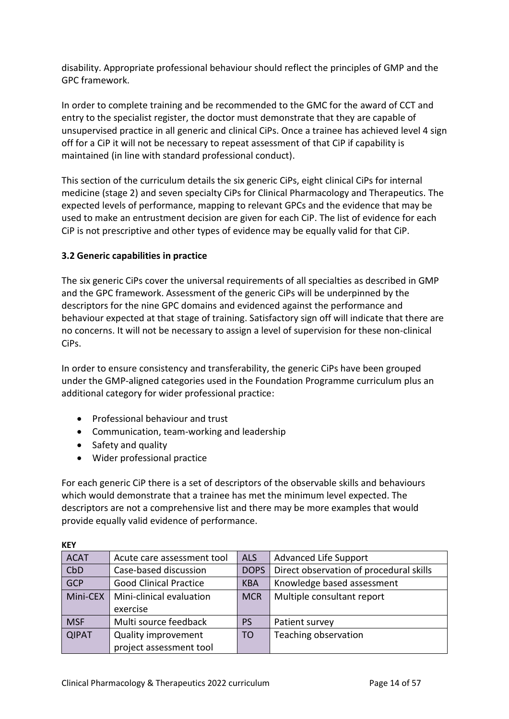disability. Appropriate professional behaviour should reflect the principles of GMP and the GPC framework.

In order to complete training and be recommended to the GMC for the award of CCT and entry to the specialist register, the doctor must demonstrate that they are capable of unsupervised practice in all generic and clinical CiPs. Once a trainee has achieved level 4 sign off for a CiP it will not be necessary to repeat assessment of that CiP if capability is maintained (in line with standard professional conduct).

This section of the curriculum details the six generic CiPs, eight clinical CiPs for internal medicine (stage 2) and seven specialty CiPs for Clinical Pharmacology and Therapeutics. The expected levels of performance, mapping to relevant GPCs and the evidence that may be used to make an entrustment decision are given for each CiP. The list of evidence for each CiP is not prescriptive and other types of evidence may be equally valid for that CiP.

# <span id="page-13-0"></span>**3.2 Generic capabilities in practice**

The six generic CiPs cover the universal requirements of all specialties as described in GMP and the GPC framework. Assessment of the generic CiPs will be underpinned by the descriptors for the nine GPC domains and evidenced against the performance and behaviour expected at that stage of training. Satisfactory sign off will indicate that there are no concerns. It will not be necessary to assign a level of supervision for these non-clinical CiPs.

In order to ensure consistency and transferability, the generic CiPs have been grouped under the GMP-aligned categories used in the Foundation Programme curriculum plus an additional category for wider professional practice:

- Professional behaviour and trust
- Communication, team-working and leadership
- Safety and quality
- Wider professional practice

For each generic CiP there is a set of descriptors of the observable skills and behaviours which would demonstrate that a trainee has met the minimum level expected. The descriptors are not a comprehensive list and there may be more examples that would provide equally valid evidence of performance.

| <b>ACAT</b>  | Acute care assessment tool    | <b>ALS</b>     | <b>Advanced Life Support</b>            |
|--------------|-------------------------------|----------------|-----------------------------------------|
| <b>CbD</b>   | Case-based discussion         | <b>DOPS</b>    | Direct observation of procedural skills |
| <b>GCP</b>   | <b>Good Clinical Practice</b> | <b>KBA</b>     | Knowledge based assessment              |
| Mini-CEX     | Mini-clinical evaluation      | <b>MCR</b>     | Multiple consultant report              |
|              | exercise                      |                |                                         |
| <b>MSF</b>   | Multi source feedback         | <b>PS</b>      | Patient survey                          |
| <b>QIPAT</b> | <b>Quality improvement</b>    | T <sub>O</sub> | Teaching observation                    |
|              | project assessment tool       |                |                                         |

**KEY**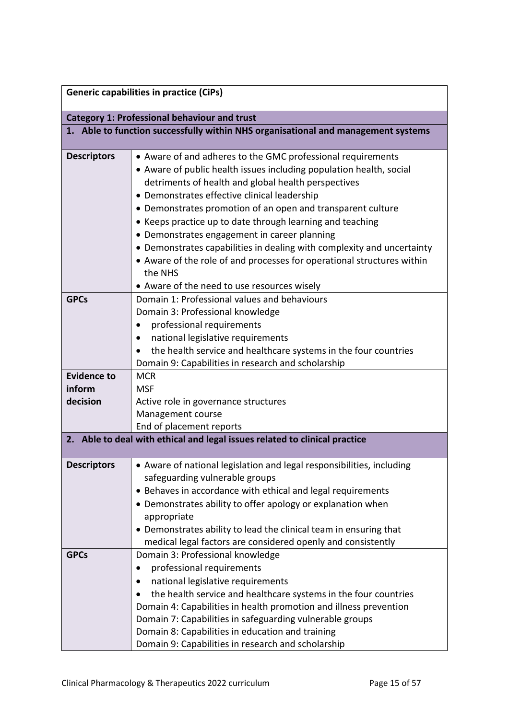|                    | <b>Generic capabilities in practice (CiPs)</b>                                                                                                                                                                                                                                                                                                                                                                                                                                                                                                                                                                                      |
|--------------------|-------------------------------------------------------------------------------------------------------------------------------------------------------------------------------------------------------------------------------------------------------------------------------------------------------------------------------------------------------------------------------------------------------------------------------------------------------------------------------------------------------------------------------------------------------------------------------------------------------------------------------------|
|                    | <b>Category 1: Professional behaviour and trust</b>                                                                                                                                                                                                                                                                                                                                                                                                                                                                                                                                                                                 |
|                    | 1. Able to function successfully within NHS organisational and management systems                                                                                                                                                                                                                                                                                                                                                                                                                                                                                                                                                   |
| <b>Descriptors</b> | • Aware of and adheres to the GMC professional requirements<br>• Aware of public health issues including population health, social<br>detriments of health and global health perspectives<br>• Demonstrates effective clinical leadership<br>• Demonstrates promotion of an open and transparent culture<br>• Keeps practice up to date through learning and teaching<br>• Demonstrates engagement in career planning<br>• Demonstrates capabilities in dealing with complexity and uncertainty<br>• Aware of the role of and processes for operational structures within<br>the NHS<br>• Aware of the need to use resources wisely |
| <b>GPCs</b>        | Domain 1: Professional values and behaviours<br>Domain 3: Professional knowledge<br>professional requirements<br>national legislative requirements<br>$\bullet$<br>the health service and healthcare systems in the four countries<br>Domain 9: Capabilities in research and scholarship                                                                                                                                                                                                                                                                                                                                            |
| <b>Evidence to</b> | <b>MCR</b>                                                                                                                                                                                                                                                                                                                                                                                                                                                                                                                                                                                                                          |
| inform             | <b>MSF</b>                                                                                                                                                                                                                                                                                                                                                                                                                                                                                                                                                                                                                          |
| decision           | Active role in governance structures                                                                                                                                                                                                                                                                                                                                                                                                                                                                                                                                                                                                |
|                    | Management course                                                                                                                                                                                                                                                                                                                                                                                                                                                                                                                                                                                                                   |
|                    | End of placement reports                                                                                                                                                                                                                                                                                                                                                                                                                                                                                                                                                                                                            |
|                    | 2. Able to deal with ethical and legal issues related to clinical practice                                                                                                                                                                                                                                                                                                                                                                                                                                                                                                                                                          |
| <b>Descriptors</b> | Aware of national legislation and legal responsibilities, including<br>safeguarding vulnerable groups<br>• Behaves in accordance with ethical and legal requirements<br>• Demonstrates ability to offer apology or explanation when<br>appropriate<br>• Demonstrates ability to lead the clinical team in ensuring that<br>medical legal factors are considered openly and consistently                                                                                                                                                                                                                                             |
| <b>GPCs</b>        | Domain 3: Professional knowledge                                                                                                                                                                                                                                                                                                                                                                                                                                                                                                                                                                                                    |
|                    | professional requirements<br>$\bullet$<br>national legislative requirements<br>the health service and healthcare systems in the four countries<br>Domain 4: Capabilities in health promotion and illness prevention<br>Domain 7: Capabilities in safeguarding vulnerable groups<br>Domain 8: Capabilities in education and training<br>Domain 9: Capabilities in research and scholarship                                                                                                                                                                                                                                           |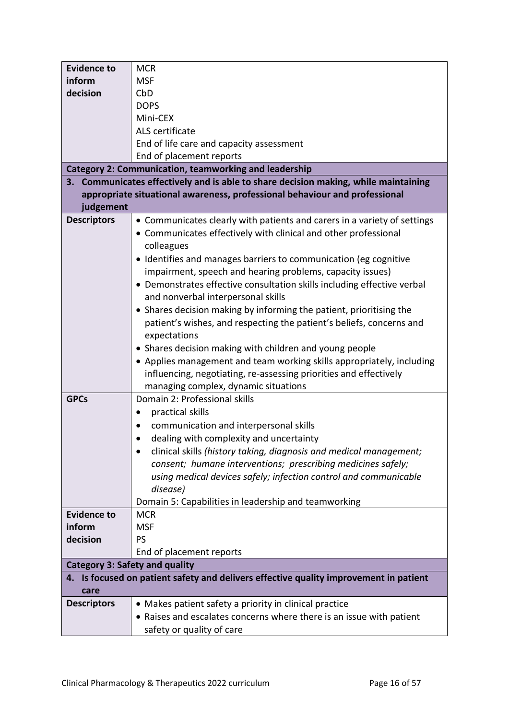| <b>Evidence to</b>                    | <b>MCR</b>                                                                            |
|---------------------------------------|---------------------------------------------------------------------------------------|
| inform                                | <b>MSF</b>                                                                            |
| decision                              | CbD                                                                                   |
|                                       | <b>DOPS</b>                                                                           |
|                                       | Mini-CEX                                                                              |
|                                       | ALS certificate                                                                       |
|                                       | End of life care and capacity assessment                                              |
|                                       | End of placement reports                                                              |
|                                       | <b>Category 2: Communication, teamworking and leadership</b>                          |
|                                       | 3. Communicates effectively and is able to share decision making, while maintaining   |
|                                       | appropriate situational awareness, professional behaviour and professional            |
| judgement                             |                                                                                       |
| <b>Descriptors</b>                    | • Communicates clearly with patients and carers in a variety of settings              |
|                                       | • Communicates effectively with clinical and other professional                       |
|                                       | colleagues                                                                            |
|                                       |                                                                                       |
|                                       | • Identifies and manages barriers to communication (eg cognitive                      |
|                                       | impairment, speech and hearing problems, capacity issues)                             |
|                                       | • Demonstrates effective consultation skills including effective verbal               |
|                                       | and nonverbal interpersonal skills                                                    |
|                                       | • Shares decision making by informing the patient, prioritising the                   |
|                                       | patient's wishes, and respecting the patient's beliefs, concerns and                  |
|                                       | expectations                                                                          |
|                                       | • Shares decision making with children and young people                               |
|                                       | • Applies management and team working skills appropriately, including                 |
|                                       | influencing, negotiating, re-assessing priorities and effectively                     |
|                                       | managing complex, dynamic situations                                                  |
| <b>GPCs</b>                           | Domain 2: Professional skills                                                         |
|                                       | practical skills<br>$\bullet$                                                         |
|                                       | communication and interpersonal skills                                                |
|                                       | dealing with complexity and uncertainty                                               |
|                                       | clinical skills (history taking, diagnosis and medical management;                    |
|                                       | consent; humane interventions; prescribing medicines safely;                          |
|                                       | using medical devices safely; infection control and communicable                      |
|                                       | disease)                                                                              |
|                                       | Domain 5: Capabilities in leadership and teamworking                                  |
| <b>Evidence to</b>                    | <b>MCR</b>                                                                            |
| inform                                | <b>MSF</b>                                                                            |
| decision                              | <b>PS</b>                                                                             |
|                                       | End of placement reports                                                              |
| <b>Category 3: Safety and quality</b> |                                                                                       |
|                                       | 4. Is focused on patient safety and delivers effective quality improvement in patient |
| care                                  |                                                                                       |
| <b>Descriptors</b>                    | • Makes patient safety a priority in clinical practice                                |
|                                       | • Raises and escalates concerns where there is an issue with patient                  |
|                                       | safety or quality of care                                                             |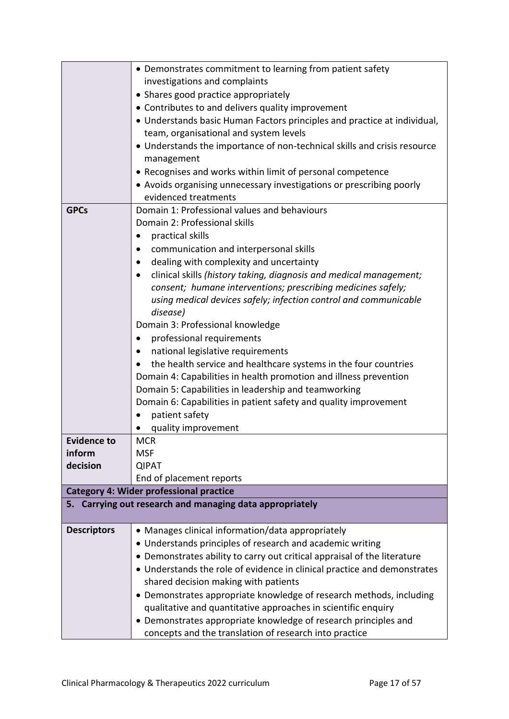|                    | • Demonstrates commitment to learning from patient safety                                                                            |
|--------------------|--------------------------------------------------------------------------------------------------------------------------------------|
|                    | investigations and complaints                                                                                                        |
|                    | • Shares good practice appropriately                                                                                                 |
|                    | • Contributes to and delivers quality improvement                                                                                    |
|                    | • Understands basic Human Factors principles and practice at individual,                                                             |
|                    | team, organisational and system levels                                                                                               |
|                    | • Understands the importance of non-technical skills and crisis resource                                                             |
|                    | management                                                                                                                           |
|                    | • Recognises and works within limit of personal competence                                                                           |
|                    | • Avoids organising unnecessary investigations or prescribing poorly                                                                 |
|                    | evidenced treatments                                                                                                                 |
| <b>GPCs</b>        | Domain 1: Professional values and behaviours                                                                                         |
|                    | Domain 2: Professional skills                                                                                                        |
|                    | practical skills                                                                                                                     |
|                    | communication and interpersonal skills                                                                                               |
|                    | dealing with complexity and uncertainty                                                                                              |
|                    | clinical skills (history taking, diagnosis and medical management;<br>$\bullet$                                                      |
|                    | consent; humane interventions; prescribing medicines safely;                                                                         |
|                    | using medical devices safely; infection control and communicable                                                                     |
|                    | disease)                                                                                                                             |
|                    | Domain 3: Professional knowledge                                                                                                     |
|                    | professional requirements<br>٠                                                                                                       |
|                    | national legislative requirements                                                                                                    |
|                    | the health service and healthcare systems in the four countries<br>Domain 4: Capabilities in health promotion and illness prevention |
|                    | Domain 5: Capabilities in leadership and teamworking                                                                                 |
|                    | Domain 6: Capabilities in patient safety and quality improvement                                                                     |
|                    | patient safety                                                                                                                       |
|                    | quality improvement                                                                                                                  |
| <b>Evidence to</b> | <b>MCR</b>                                                                                                                           |
| inform             | <b>MSF</b>                                                                                                                           |
| decision           | <b>QIPAT</b>                                                                                                                         |
|                    | End of placement reports                                                                                                             |
|                    | <b>Category 4: Wider professional practice</b>                                                                                       |
|                    | 5. Carrying out research and managing data appropriately                                                                             |
|                    |                                                                                                                                      |
| <b>Descriptors</b> | • Manages clinical information/data appropriately                                                                                    |
|                    | • Understands principles of research and academic writing                                                                            |
|                    | • Demonstrates ability to carry out critical appraisal of the literature                                                             |
|                    | • Understands the role of evidence in clinical practice and demonstrates                                                             |
|                    | shared decision making with patients                                                                                                 |
|                    | • Demonstrates appropriate knowledge of research methods, including                                                                  |
|                    | qualitative and quantitative approaches in scientific enquiry                                                                        |
|                    | • Demonstrates appropriate knowledge of research principles and                                                                      |
|                    | concepts and the translation of research into practice                                                                               |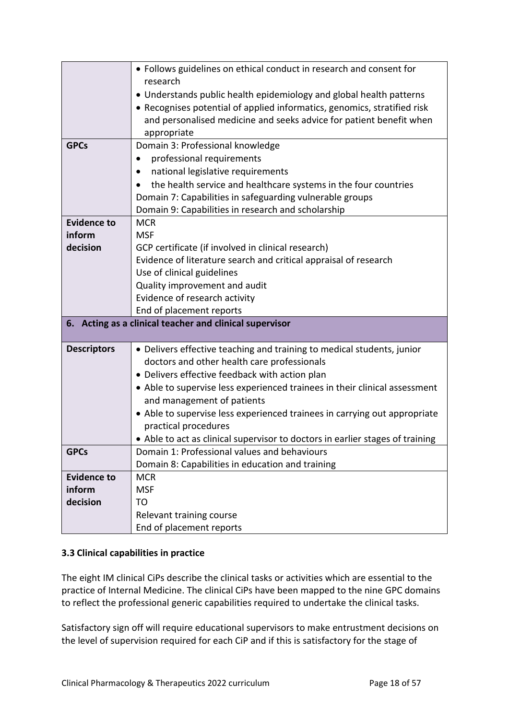|                    | • Follows guidelines on ethical conduct in research and consent for           |
|--------------------|-------------------------------------------------------------------------------|
|                    | research                                                                      |
|                    | • Understands public health epidemiology and global health patterns           |
|                    | • Recognises potential of applied informatics, genomics, stratified risk      |
|                    | and personalised medicine and seeks advice for patient benefit when           |
|                    | appropriate                                                                   |
| <b>GPCs</b>        | Domain 3: Professional knowledge                                              |
|                    | professional requirements                                                     |
|                    | national legislative requirements                                             |
|                    | the health service and healthcare systems in the four countries               |
|                    | Domain 7: Capabilities in safeguarding vulnerable groups                      |
|                    | Domain 9: Capabilities in research and scholarship                            |
| <b>Evidence to</b> | <b>MCR</b>                                                                    |
| inform             | <b>MSF</b>                                                                    |
| decision           | GCP certificate (if involved in clinical research)                            |
|                    | Evidence of literature search and critical appraisal of research              |
|                    | Use of clinical guidelines                                                    |
|                    | Quality improvement and audit                                                 |
|                    | Evidence of research activity                                                 |
|                    | End of placement reports                                                      |
|                    | 6. Acting as a clinical teacher and clinical supervisor                       |
|                    |                                                                               |
| <b>Descriptors</b> | • Delivers effective teaching and training to medical students, junior        |
|                    | doctors and other health care professionals                                   |
|                    | • Delivers effective feedback with action plan                                |
|                    | • Able to supervise less experienced trainees in their clinical assessment    |
|                    | and management of patients                                                    |
|                    | • Able to supervise less experienced trainees in carrying out appropriate     |
|                    | practical procedures                                                          |
|                    | • Able to act as clinical supervisor to doctors in earlier stages of training |
| <b>GPCs</b>        | Domain 1: Professional values and behaviours                                  |
|                    | Domain 8: Capabilities in education and training                              |
| <b>Evidence to</b> | <b>MCR</b>                                                                    |
| inform             | <b>MSF</b>                                                                    |
|                    |                                                                               |
| decision           | T <sub>O</sub>                                                                |
|                    | Relevant training course                                                      |

# <span id="page-17-0"></span>**3.3 Clinical capabilities in practice**

The eight IM clinical CiPs describe the clinical tasks or activities which are essential to the practice of Internal Medicine. The clinical CiPs have been mapped to the nine GPC domains to reflect the professional generic capabilities required to undertake the clinical tasks.

Satisfactory sign off will require educational supervisors to make entrustment decisions on the level of supervision required for each CiP and if this is satisfactory for the stage of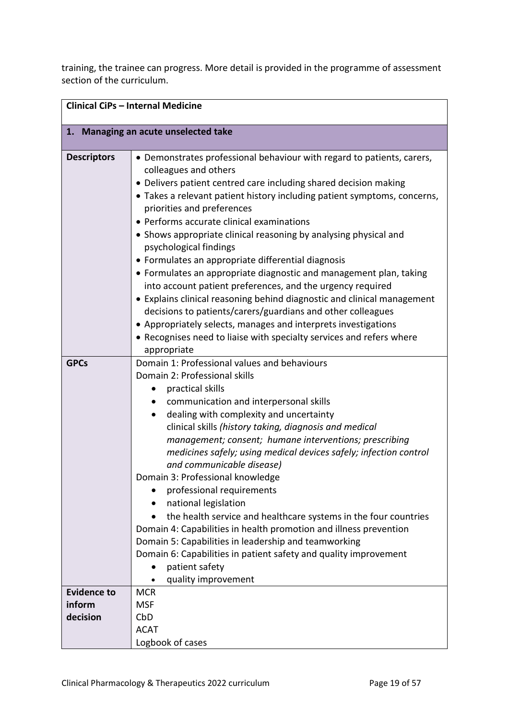training, the trainee can progress. More detail is provided in the programme of assessment section of the curriculum.

|                                          | <b>Clinical CiPs - Internal Medicine</b>                                                                                                                                                                                                                                                                                                                                                                                                                                                                                                                                                                                                                                                                                                                                                                                                                                                                              |
|------------------------------------------|-----------------------------------------------------------------------------------------------------------------------------------------------------------------------------------------------------------------------------------------------------------------------------------------------------------------------------------------------------------------------------------------------------------------------------------------------------------------------------------------------------------------------------------------------------------------------------------------------------------------------------------------------------------------------------------------------------------------------------------------------------------------------------------------------------------------------------------------------------------------------------------------------------------------------|
|                                          | 1. Managing an acute unselected take                                                                                                                                                                                                                                                                                                                                                                                                                                                                                                                                                                                                                                                                                                                                                                                                                                                                                  |
| <b>Descriptors</b>                       | • Demonstrates professional behaviour with regard to patients, carers,<br>colleagues and others<br>• Delivers patient centred care including shared decision making<br>• Takes a relevant patient history including patient symptoms, concerns,<br>priorities and preferences<br>• Performs accurate clinical examinations<br>• Shows appropriate clinical reasoning by analysing physical and<br>psychological findings<br>• Formulates an appropriate differential diagnosis<br>• Formulates an appropriate diagnostic and management plan, taking<br>into account patient preferences, and the urgency required<br>• Explains clinical reasoning behind diagnostic and clinical management<br>decisions to patients/carers/guardians and other colleagues<br>• Appropriately selects, manages and interprets investigations<br>• Recognises need to liaise with specialty services and refers where<br>appropriate |
| <b>GPCs</b>                              | Domain 1: Professional values and behaviours<br>Domain 2: Professional skills<br>practical skills<br>communication and interpersonal skills<br>dealing with complexity and uncertainty<br>$\bullet$<br>clinical skills (history taking, diagnosis and medical<br>management; consent; humane interventions; prescribing<br>medicines safely; using medical devices safely; infection control<br>and communicable disease)<br>Domain 3: Professional knowledge<br>professional requirements<br>national legislation<br>the health service and healthcare systems in the four countries<br>Domain 4: Capabilities in health promotion and illness prevention<br>Domain 5: Capabilities in leadership and teamworking<br>Domain 6: Capabilities in patient safety and quality improvement<br>patient safety<br>quality improvement                                                                                       |
| <b>Evidence to</b><br>inform<br>decision | <b>MCR</b><br><b>MSF</b><br>CbD<br><b>ACAT</b><br>Logbook of cases                                                                                                                                                                                                                                                                                                                                                                                                                                                                                                                                                                                                                                                                                                                                                                                                                                                    |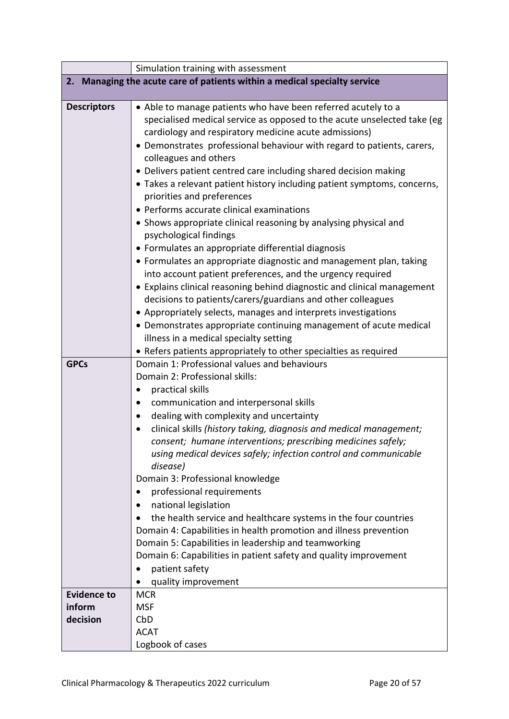|                    | Simulation training with assessment                                       |
|--------------------|---------------------------------------------------------------------------|
|                    | 2. Managing the acute care of patients within a medical specialty service |
|                    |                                                                           |
| <b>Descriptors</b> | • Able to manage patients who have been referred acutely to a             |
|                    | specialised medical service as opposed to the acute unselected take (eg   |
|                    | cardiology and respiratory medicine acute admissions)                     |
|                    | • Demonstrates professional behaviour with regard to patients, carers,    |
|                    | colleagues and others                                                     |
|                    | • Delivers patient centred care including shared decision making          |
|                    | • Takes a relevant patient history including patient symptoms, concerns,  |
|                    | priorities and preferences                                                |
|                    | • Performs accurate clinical examinations                                 |
|                    | • Shows appropriate clinical reasoning by analysing physical and          |
|                    | psychological findings                                                    |
|                    | • Formulates an appropriate differential diagnosis                        |
|                    | • Formulates an appropriate diagnostic and management plan, taking        |
|                    | into account patient preferences, and the urgency required                |
|                    | • Explains clinical reasoning behind diagnostic and clinical management   |
|                    | decisions to patients/carers/guardians and other colleagues               |
|                    | • Appropriately selects, manages and interprets investigations            |
|                    | • Demonstrates appropriate continuing management of acute medical         |
|                    | illness in a medical specialty setting                                    |
|                    | • Refers patients appropriately to other specialties as required          |
| <b>GPCs</b>        | Domain 1: Professional values and behaviours                              |
|                    | Domain 2: Professional skills:                                            |
|                    | practical skills                                                          |
|                    | communication and interpersonal skills                                    |
|                    | dealing with complexity and uncertainty                                   |
|                    | clinical skills (history taking, diagnosis and medical management;        |
|                    | consent; humane interventions; prescribing medicines safely;              |
|                    | using medical devices safely; infection control and communicable          |
|                    | disease)                                                                  |
|                    | Domain 3: Professional knowledge                                          |
|                    | professional requirements                                                 |
|                    | national legislation                                                      |
|                    | the health service and healthcare systems in the four countries           |
|                    | Domain 4: Capabilities in health promotion and illness prevention         |
|                    | Domain 5: Capabilities in leadership and teamworking                      |
|                    | Domain 6: Capabilities in patient safety and quality improvement          |
|                    | patient safety                                                            |
|                    | quality improvement                                                       |
| <b>Evidence to</b> | <b>MCR</b>                                                                |
| inform             | <b>MSF</b>                                                                |
| decision           | CbD                                                                       |
|                    | <b>ACAT</b>                                                               |
|                    | Logbook of cases                                                          |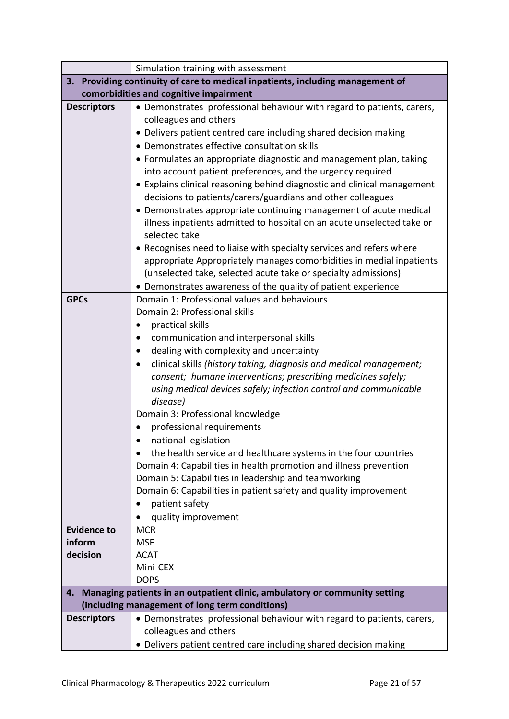|                    | Simulation training with assessment                                            |
|--------------------|--------------------------------------------------------------------------------|
|                    | 3. Providing continuity of care to medical inpatients, including management of |
|                    | comorbidities and cognitive impairment                                         |
| <b>Descriptors</b> | • Demonstrates professional behaviour with regard to patients, carers,         |
|                    | colleagues and others                                                          |
|                    | • Delivers patient centred care including shared decision making               |
|                    | • Demonstrates effective consultation skills                                   |
|                    | • Formulates an appropriate diagnostic and management plan, taking             |
|                    | into account patient preferences, and the urgency required                     |
|                    | • Explains clinical reasoning behind diagnostic and clinical management        |
|                    | decisions to patients/carers/guardians and other colleagues                    |
|                    | • Demonstrates appropriate continuing management of acute medical              |
|                    | illness inpatients admitted to hospital on an acute unselected take or         |
|                    | selected take                                                                  |
|                    | • Recognises need to liaise with specialty services and refers where           |
|                    | appropriate Appropriately manages comorbidities in medial inpatients           |
|                    | (unselected take, selected acute take or specialty admissions)                 |
|                    | • Demonstrates awareness of the quality of patient experience                  |
| <b>GPCs</b>        | Domain 1: Professional values and behaviours                                   |
|                    | Domain 2: Professional skills                                                  |
|                    | practical skills                                                               |
|                    | communication and interpersonal skills                                         |
|                    | dealing with complexity and uncertainty                                        |
|                    | clinical skills (history taking, diagnosis and medical management;             |
|                    | consent; humane interventions; prescribing medicines safely;                   |
|                    | using medical devices safely; infection control and communicable               |
|                    | disease)                                                                       |
|                    | Domain 3: Professional knowledge                                               |
|                    | professional requirements                                                      |
|                    | national legislation                                                           |
|                    | the health service and healthcare systems in the four countries                |
|                    | Domain 4: Capabilities in health promotion and illness prevention              |
|                    | Domain 5: Capabilities in leadership and teamworking                           |
|                    | Domain 6: Capabilities in patient safety and quality improvement               |
|                    | patient safety                                                                 |
|                    | quality improvement                                                            |
| <b>Evidence to</b> | <b>MCR</b>                                                                     |
| inform             | <b>MSF</b>                                                                     |
| decision           | <b>ACAT</b>                                                                    |
|                    | Mini-CEX                                                                       |
|                    | <b>DOPS</b>                                                                    |
| 4.                 | Managing patients in an outpatient clinic, ambulatory or community setting     |
|                    | (including management of long term conditions)                                 |
| <b>Descriptors</b> | • Demonstrates professional behaviour with regard to patients, carers,         |
|                    | colleagues and others                                                          |
|                    | • Delivers patient centred care including shared decision making               |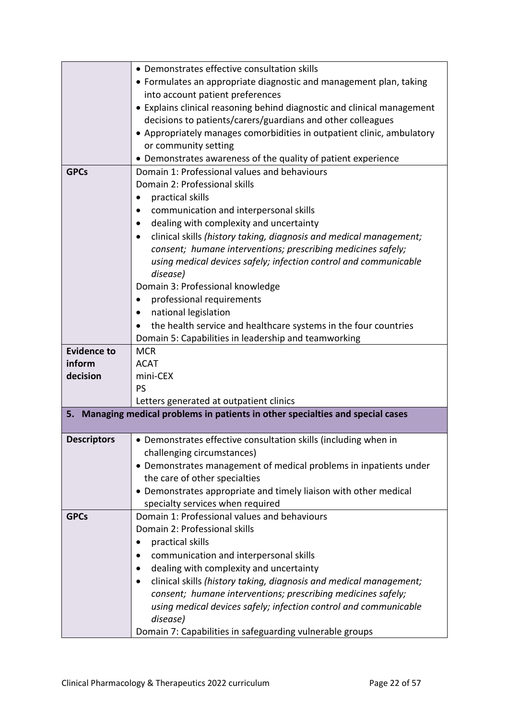|                    | • Demonstrates effective consultation skills                                    |
|--------------------|---------------------------------------------------------------------------------|
|                    | • Formulates an appropriate diagnostic and management plan, taking              |
|                    | into account patient preferences                                                |
|                    | • Explains clinical reasoning behind diagnostic and clinical management         |
|                    | decisions to patients/carers/guardians and other colleagues                     |
|                    | • Appropriately manages comorbidities in outpatient clinic, ambulatory          |
|                    | or community setting                                                            |
|                    | • Demonstrates awareness of the quality of patient experience                   |
| <b>GPCs</b>        | Domain 1: Professional values and behaviours                                    |
|                    | Domain 2: Professional skills                                                   |
|                    | practical skills<br>$\bullet$                                                   |
|                    | communication and interpersonal skills                                          |
|                    | dealing with complexity and uncertainty<br>$\bullet$                            |
|                    | clinical skills (history taking, diagnosis and medical management;              |
|                    | consent; humane interventions; prescribing medicines safely;                    |
|                    | using medical devices safely; infection control and communicable                |
|                    | disease)                                                                        |
|                    | Domain 3: Professional knowledge                                                |
|                    | professional requirements<br>$\bullet$                                          |
|                    | national legislation                                                            |
|                    | the health service and healthcare systems in the four countries                 |
|                    | Domain 5: Capabilities in leadership and teamworking                            |
| <b>Evidence to</b> | <b>MCR</b>                                                                      |
| inform             | <b>ACAT</b>                                                                     |
| decision           | mini-CEX                                                                        |
|                    | PS                                                                              |
|                    | Letters generated at outpatient clinics                                         |
|                    | 5. Managing medical problems in patients in other specialties and special cases |
|                    |                                                                                 |
| <b>Descriptors</b> | • Demonstrates effective consultation skills (including when in                 |
|                    | challenging circumstances)                                                      |
|                    | • Demonstrates management of medical problems in inpatients under               |
|                    | the care of other specialties                                                   |
|                    | • Demonstrates appropriate and timely liaison with other medical                |
|                    | specialty services when required                                                |
| <b>GPCs</b>        | Domain 1: Professional values and behaviours                                    |
|                    | Domain 2: Professional skills                                                   |
|                    | practical skills                                                                |
|                    | communication and interpersonal skills                                          |
|                    | dealing with complexity and uncertainty                                         |
|                    | clinical skills (history taking, diagnosis and medical management;<br>٠         |
|                    | consent; humane interventions; prescribing medicines safely;                    |
|                    | using medical devices safely; infection control and communicable                |
|                    | disease)                                                                        |
|                    | Domain 7: Capabilities in safeguarding vulnerable groups                        |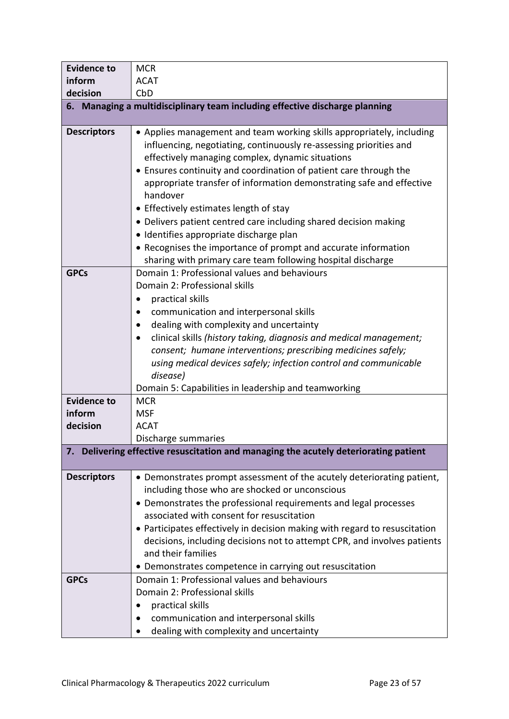| <b>Evidence to</b> | <b>MCR</b>                                                                                                                                                                                                                                                                                                                                                                                                                                                                                                                                                                                                                                         |
|--------------------|----------------------------------------------------------------------------------------------------------------------------------------------------------------------------------------------------------------------------------------------------------------------------------------------------------------------------------------------------------------------------------------------------------------------------------------------------------------------------------------------------------------------------------------------------------------------------------------------------------------------------------------------------|
| inform             | <b>ACAT</b>                                                                                                                                                                                                                                                                                                                                                                                                                                                                                                                                                                                                                                        |
| decision           | CbD                                                                                                                                                                                                                                                                                                                                                                                                                                                                                                                                                                                                                                                |
|                    | 6. Managing a multidisciplinary team including effective discharge planning                                                                                                                                                                                                                                                                                                                                                                                                                                                                                                                                                                        |
| <b>Descriptors</b> | • Applies management and team working skills appropriately, including<br>influencing, negotiating, continuously re-assessing priorities and<br>effectively managing complex, dynamic situations<br>• Ensures continuity and coordination of patient care through the<br>appropriate transfer of information demonstrating safe and effective<br>handover<br>• Effectively estimates length of stay<br>• Delivers patient centred care including shared decision making<br>· Identifies appropriate discharge plan<br>• Recognises the importance of prompt and accurate information<br>sharing with primary care team following hospital discharge |
| <b>GPCs</b>        | Domain 1: Professional values and behaviours<br>Domain 2: Professional skills<br>practical skills<br>٠<br>communication and interpersonal skills<br>dealing with complexity and uncertainty<br>clinical skills (history taking, diagnosis and medical management;<br>consent; humane interventions; prescribing medicines safely;<br>using medical devices safely; infection control and communicable<br>disease)<br>Domain 5: Capabilities in leadership and teamworking                                                                                                                                                                          |
| <b>Evidence to</b> | <b>MCR</b>                                                                                                                                                                                                                                                                                                                                                                                                                                                                                                                                                                                                                                         |
| inform             | <b>MSF</b>                                                                                                                                                                                                                                                                                                                                                                                                                                                                                                                                                                                                                                         |
| decision           | <b>ACAT</b>                                                                                                                                                                                                                                                                                                                                                                                                                                                                                                                                                                                                                                        |
|                    | Discharge summaries                                                                                                                                                                                                                                                                                                                                                                                                                                                                                                                                                                                                                                |
| 7.                 | Delivering effective resuscitation and managing the acutely deteriorating patient                                                                                                                                                                                                                                                                                                                                                                                                                                                                                                                                                                  |
| <b>Descriptors</b> | • Demonstrates prompt assessment of the acutely deteriorating patient,<br>including those who are shocked or unconscious<br>• Demonstrates the professional requirements and legal processes<br>associated with consent for resuscitation<br>• Participates effectively in decision making with regard to resuscitation<br>decisions, including decisions not to attempt CPR, and involves patients<br>and their families<br>• Demonstrates competence in carrying out resuscitation                                                                                                                                                               |
| <b>GPCs</b>        | Domain 1: Professional values and behaviours<br>Domain 2: Professional skills<br>practical skills<br>communication and interpersonal skills<br>dealing with complexity and uncertainty                                                                                                                                                                                                                                                                                                                                                                                                                                                             |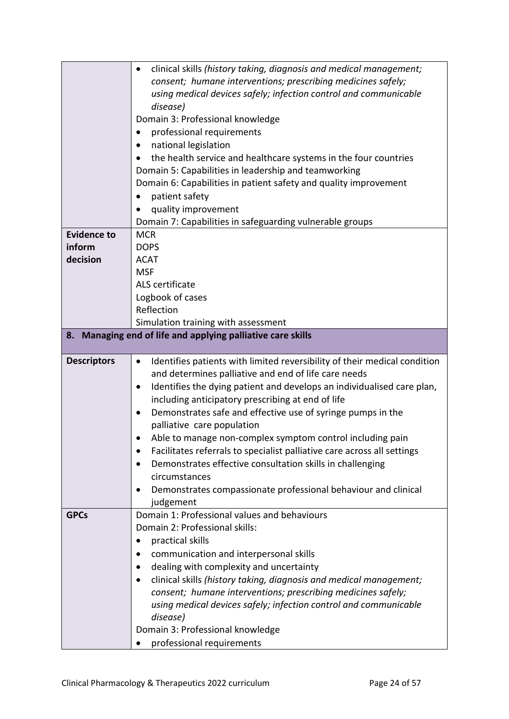|                    | clinical skills (history taking, diagnosis and medical management;<br>$\bullet$        |
|--------------------|----------------------------------------------------------------------------------------|
|                    | consent; humane interventions; prescribing medicines safely;                           |
|                    | using medical devices safely; infection control and communicable                       |
|                    | disease)                                                                               |
|                    | Domain 3: Professional knowledge                                                       |
|                    | professional requirements                                                              |
|                    | national legislation                                                                   |
|                    | the health service and healthcare systems in the four countries                        |
|                    | Domain 5: Capabilities in leadership and teamworking                                   |
|                    | Domain 6: Capabilities in patient safety and quality improvement                       |
|                    | patient safety                                                                         |
|                    | quality improvement                                                                    |
|                    | Domain 7: Capabilities in safeguarding vulnerable groups                               |
| <b>Evidence to</b> | <b>MCR</b>                                                                             |
| inform             | <b>DOPS</b>                                                                            |
| decision           | <b>ACAT</b>                                                                            |
|                    | <b>MSF</b>                                                                             |
|                    | ALS certificate                                                                        |
|                    | Logbook of cases                                                                       |
|                    | Reflection                                                                             |
|                    | Simulation training with assessment                                                    |
| 8.                 | Managing end of life and applying palliative care skills                               |
|                    |                                                                                        |
|                    |                                                                                        |
| <b>Descriptors</b> | Identifies patients with limited reversibility of their medical condition<br>$\bullet$ |
|                    | and determines palliative and end of life care needs                                   |
|                    | Identifies the dying patient and develops an individualised care plan,<br>$\bullet$    |
|                    | including anticipatory prescribing at end of life                                      |
|                    | Demonstrates safe and effective use of syringe pumps in the                            |
|                    | palliative care population                                                             |
|                    | Able to manage non-complex symptom control including pain                              |
|                    | Facilitates referrals to specialist palliative care across all settings                |
|                    | Demonstrates effective consultation skills in challenging                              |
|                    | circumstances                                                                          |
|                    | Demonstrates compassionate professional behaviour and clinical<br>$\bullet$            |
|                    | judgement                                                                              |
| <b>GPCs</b>        | Domain 1: Professional values and behaviours                                           |
|                    | Domain 2: Professional skills:                                                         |
|                    | practical skills                                                                       |
|                    | communication and interpersonal skills                                                 |
|                    | dealing with complexity and uncertainty<br>٠                                           |
|                    | clinical skills (history taking, diagnosis and medical management;                     |
|                    | consent; humane interventions; prescribing medicines safely;                           |
|                    | using medical devices safely; infection control and communicable                       |
|                    | disease)                                                                               |
|                    | Domain 3: Professional knowledge<br>professional requirements                          |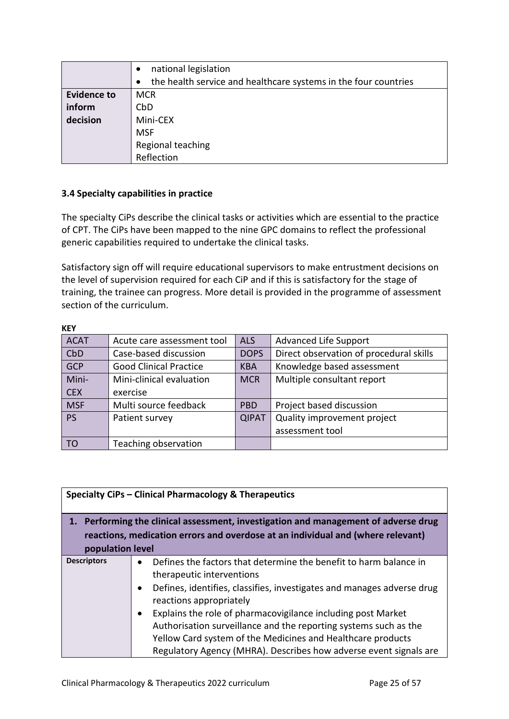|                    | national legislation                                            |
|--------------------|-----------------------------------------------------------------|
|                    | the health service and healthcare systems in the four countries |
| <b>Evidence to</b> | <b>MCR</b>                                                      |
| inform             | CbD                                                             |
| decision           | Mini-CEX                                                        |
|                    | <b>MSF</b>                                                      |
|                    | Regional teaching                                               |
|                    | Reflection                                                      |

## <span id="page-24-0"></span>**3.4 Specialty capabilities in practice**

The specialty CiPs describe the clinical tasks or activities which are essential to the practice of CPT. The CiPs have been mapped to the nine GPC domains to reflect the professional generic capabilities required to undertake the clinical tasks.

Satisfactory sign off will require educational supervisors to make entrustment decisions on the level of supervision required for each CiP and if this is satisfactory for the stage of training, the trainee can progress. More detail is provided in the programme of assessment section of the curriculum.

| <b>KEY</b>  |                               |              |                                         |
|-------------|-------------------------------|--------------|-----------------------------------------|
| <b>ACAT</b> | Acute care assessment tool    | <b>ALS</b>   | <b>Advanced Life Support</b>            |
| CbD         | Case-based discussion         | <b>DOPS</b>  | Direct observation of procedural skills |
| <b>GCP</b>  | <b>Good Clinical Practice</b> | <b>KBA</b>   | Knowledge based assessment              |
| Mini-       | Mini-clinical evaluation      | <b>MCR</b>   | Multiple consultant report              |
| <b>CEX</b>  | exercise                      |              |                                         |
| <b>MSF</b>  | Multi source feedback         | <b>PBD</b>   | Project based discussion                |
| <b>PS</b>   | Patient survey                | <b>QIPAT</b> | Quality improvement project             |
|             |                               |              | assessment tool                         |
| TO          | Teaching observation          |              |                                         |

|                    | Specialty CiPs - Clinical Pharmacology & Therapeutics                            |
|--------------------|----------------------------------------------------------------------------------|
|                    |                                                                                  |
|                    | Performing the clinical assessment, investigation and management of adverse drug |
|                    | reactions, medication errors and overdose at an individual and (where relevant)  |
|                    |                                                                                  |
| population level   |                                                                                  |
| <b>Descriptors</b> | Defines the factors that determine the benefit to harm balance in                |
|                    | therapeutic interventions                                                        |
|                    | Defines, identifies, classifies, investigates and manages adverse drug           |
|                    | reactions appropriately                                                          |
|                    | Explains the role of pharmacovigilance including post Market                     |
|                    | Authorisation surveillance and the reporting systems such as the                 |
|                    | Yellow Card system of the Medicines and Healthcare products                      |
|                    | Regulatory Agency (MHRA). Describes how adverse event signals are                |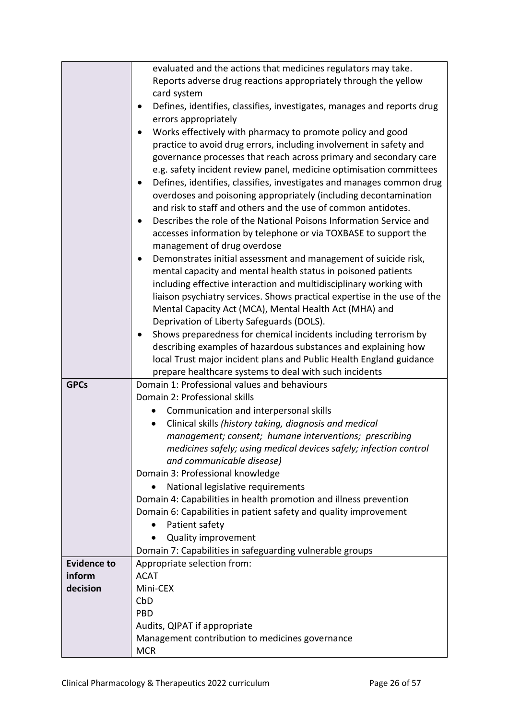|                    | evaluated and the actions that medicines regulators may take.                                                                         |
|--------------------|---------------------------------------------------------------------------------------------------------------------------------------|
|                    | Reports adverse drug reactions appropriately through the yellow                                                                       |
|                    | card system                                                                                                                           |
|                    | Defines, identifies, classifies, investigates, manages and reports drug                                                               |
|                    | errors appropriately                                                                                                                  |
|                    | Works effectively with pharmacy to promote policy and good                                                                            |
|                    | practice to avoid drug errors, including involvement in safety and                                                                    |
|                    | governance processes that reach across primary and secondary care                                                                     |
|                    | e.g. safety incident review panel, medicine optimisation committees                                                                   |
|                    | Defines, identifies, classifies, investigates and manages common drug                                                                 |
|                    | overdoses and poisoning appropriately (including decontamination                                                                      |
|                    | and risk to staff and others and the use of common antidotes.                                                                         |
|                    | Describes the role of the National Poisons Information Service and                                                                    |
|                    | accesses information by telephone or via TOXBASE to support the                                                                       |
|                    | management of drug overdose                                                                                                           |
|                    | Demonstrates initial assessment and management of suicide risk,                                                                       |
|                    | mental capacity and mental health status in poisoned patients                                                                         |
|                    | including effective interaction and multidisciplinary working with                                                                    |
|                    | liaison psychiatry services. Shows practical expertise in the use of the                                                              |
|                    | Mental Capacity Act (MCA), Mental Health Act (MHA) and                                                                                |
|                    | Deprivation of Liberty Safeguards (DOLS).                                                                                             |
|                    | Shows preparedness for chemical incidents including terrorism by                                                                      |
|                    | describing examples of hazardous substances and explaining how                                                                        |
|                    | local Trust major incident plans and Public Health England guidance                                                                   |
|                    | prepare healthcare systems to deal with such incidents                                                                                |
| <b>GPCs</b>        | Domain 1: Professional values and behaviours                                                                                          |
|                    | Domain 2: Professional skills                                                                                                         |
|                    | Communication and interpersonal skills                                                                                                |
|                    | Clinical skills (history taking, diagnosis and medical                                                                                |
|                    | management; consent; humane interventions; prescribing                                                                                |
|                    | medicines safely; using medical devices safely; infection control                                                                     |
|                    | and communicable disease)                                                                                                             |
|                    | Domain 3: Professional knowledge                                                                                                      |
|                    | National legislative requirements                                                                                                     |
|                    | Domain 4: Capabilities in health promotion and illness prevention<br>Domain 6: Capabilities in patient safety and quality improvement |
|                    | Patient safety                                                                                                                        |
|                    | <b>Quality improvement</b>                                                                                                            |
|                    | Domain 7: Capabilities in safeguarding vulnerable groups                                                                              |
| <b>Evidence to</b> | Appropriate selection from:                                                                                                           |
| inform             | <b>ACAT</b>                                                                                                                           |
| decision           | Mini-CEX                                                                                                                              |
|                    | CbD                                                                                                                                   |
|                    | <b>PBD</b>                                                                                                                            |
|                    | Audits, QIPAT if appropriate                                                                                                          |
|                    | Management contribution to medicines governance                                                                                       |
|                    | <b>MCR</b>                                                                                                                            |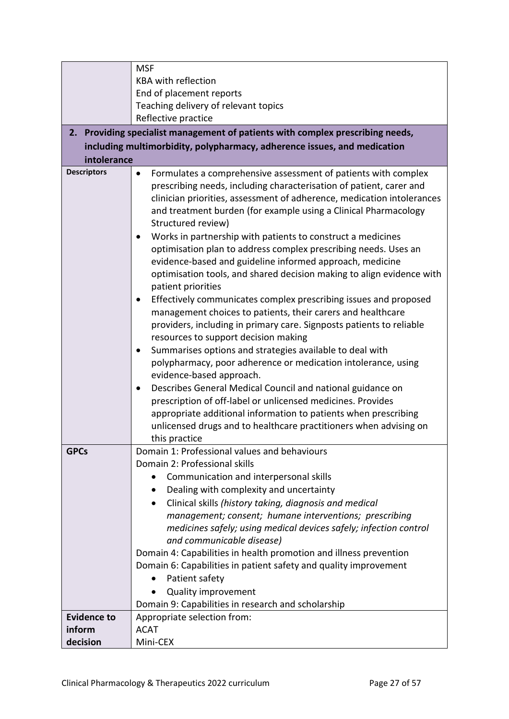|                    | <b>MSF</b>                                                                                                                                                                                                                                                                                                                                                                                                                                                                                                                                                                                                                                                                                                                                                                                                                                                                                                                                                                                                                                                                                                                                                                                                                                     |
|--------------------|------------------------------------------------------------------------------------------------------------------------------------------------------------------------------------------------------------------------------------------------------------------------------------------------------------------------------------------------------------------------------------------------------------------------------------------------------------------------------------------------------------------------------------------------------------------------------------------------------------------------------------------------------------------------------------------------------------------------------------------------------------------------------------------------------------------------------------------------------------------------------------------------------------------------------------------------------------------------------------------------------------------------------------------------------------------------------------------------------------------------------------------------------------------------------------------------------------------------------------------------|
|                    | <b>KBA with reflection</b>                                                                                                                                                                                                                                                                                                                                                                                                                                                                                                                                                                                                                                                                                                                                                                                                                                                                                                                                                                                                                                                                                                                                                                                                                     |
|                    | End of placement reports                                                                                                                                                                                                                                                                                                                                                                                                                                                                                                                                                                                                                                                                                                                                                                                                                                                                                                                                                                                                                                                                                                                                                                                                                       |
|                    | Teaching delivery of relevant topics                                                                                                                                                                                                                                                                                                                                                                                                                                                                                                                                                                                                                                                                                                                                                                                                                                                                                                                                                                                                                                                                                                                                                                                                           |
|                    | Reflective practice                                                                                                                                                                                                                                                                                                                                                                                                                                                                                                                                                                                                                                                                                                                                                                                                                                                                                                                                                                                                                                                                                                                                                                                                                            |
|                    | 2. Providing specialist management of patients with complex prescribing needs,                                                                                                                                                                                                                                                                                                                                                                                                                                                                                                                                                                                                                                                                                                                                                                                                                                                                                                                                                                                                                                                                                                                                                                 |
|                    | including multimorbidity, polypharmacy, adherence issues, and medication                                                                                                                                                                                                                                                                                                                                                                                                                                                                                                                                                                                                                                                                                                                                                                                                                                                                                                                                                                                                                                                                                                                                                                       |
| intolerance        |                                                                                                                                                                                                                                                                                                                                                                                                                                                                                                                                                                                                                                                                                                                                                                                                                                                                                                                                                                                                                                                                                                                                                                                                                                                |
| <b>Descriptors</b> | Formulates a comprehensive assessment of patients with complex<br>$\bullet$                                                                                                                                                                                                                                                                                                                                                                                                                                                                                                                                                                                                                                                                                                                                                                                                                                                                                                                                                                                                                                                                                                                                                                    |
|                    | prescribing needs, including characterisation of patient, carer and<br>clinician priorities, assessment of adherence, medication intolerances<br>and treatment burden (for example using a Clinical Pharmacology<br>Structured review)<br>Works in partnership with patients to construct a medicines<br>optimisation plan to address complex prescribing needs. Uses an<br>evidence-based and guideline informed approach, medicine<br>optimisation tools, and shared decision making to align evidence with<br>patient priorities<br>Effectively communicates complex prescribing issues and proposed<br>management choices to patients, their carers and healthcare<br>providers, including in primary care. Signposts patients to reliable<br>resources to support decision making<br>Summarises options and strategies available to deal with<br>$\bullet$<br>polypharmacy, poor adherence or medication intolerance, using<br>evidence-based approach.<br>Describes General Medical Council and national guidance on<br>$\bullet$<br>prescription of off-label or unlicensed medicines. Provides<br>appropriate additional information to patients when prescribing<br>unlicensed drugs and to healthcare practitioners when advising on |
|                    | this practice                                                                                                                                                                                                                                                                                                                                                                                                                                                                                                                                                                                                                                                                                                                                                                                                                                                                                                                                                                                                                                                                                                                                                                                                                                  |
| <b>GPCs</b>        | Domain 1: Professional values and behaviours                                                                                                                                                                                                                                                                                                                                                                                                                                                                                                                                                                                                                                                                                                                                                                                                                                                                                                                                                                                                                                                                                                                                                                                                   |
|                    | Domain 2: Professional skills                                                                                                                                                                                                                                                                                                                                                                                                                                                                                                                                                                                                                                                                                                                                                                                                                                                                                                                                                                                                                                                                                                                                                                                                                  |
|                    | Communication and interpersonal skills                                                                                                                                                                                                                                                                                                                                                                                                                                                                                                                                                                                                                                                                                                                                                                                                                                                                                                                                                                                                                                                                                                                                                                                                         |
|                    | Dealing with complexity and uncertainty<br>٠                                                                                                                                                                                                                                                                                                                                                                                                                                                                                                                                                                                                                                                                                                                                                                                                                                                                                                                                                                                                                                                                                                                                                                                                   |
|                    | Clinical skills (history taking, diagnosis and medical                                                                                                                                                                                                                                                                                                                                                                                                                                                                                                                                                                                                                                                                                                                                                                                                                                                                                                                                                                                                                                                                                                                                                                                         |
|                    | management; consent; humane interventions; prescribing                                                                                                                                                                                                                                                                                                                                                                                                                                                                                                                                                                                                                                                                                                                                                                                                                                                                                                                                                                                                                                                                                                                                                                                         |
|                    | medicines safely; using medical devices safely; infection control                                                                                                                                                                                                                                                                                                                                                                                                                                                                                                                                                                                                                                                                                                                                                                                                                                                                                                                                                                                                                                                                                                                                                                              |
|                    | and communicable disease)                                                                                                                                                                                                                                                                                                                                                                                                                                                                                                                                                                                                                                                                                                                                                                                                                                                                                                                                                                                                                                                                                                                                                                                                                      |
|                    | Domain 4: Capabilities in health promotion and illness prevention                                                                                                                                                                                                                                                                                                                                                                                                                                                                                                                                                                                                                                                                                                                                                                                                                                                                                                                                                                                                                                                                                                                                                                              |
|                    | Domain 6: Capabilities in patient safety and quality improvement                                                                                                                                                                                                                                                                                                                                                                                                                                                                                                                                                                                                                                                                                                                                                                                                                                                                                                                                                                                                                                                                                                                                                                               |
|                    | Patient safety<br>$\bullet$                                                                                                                                                                                                                                                                                                                                                                                                                                                                                                                                                                                                                                                                                                                                                                                                                                                                                                                                                                                                                                                                                                                                                                                                                    |
|                    | Quality improvement                                                                                                                                                                                                                                                                                                                                                                                                                                                                                                                                                                                                                                                                                                                                                                                                                                                                                                                                                                                                                                                                                                                                                                                                                            |
|                    | Domain 9: Capabilities in research and scholarship                                                                                                                                                                                                                                                                                                                                                                                                                                                                                                                                                                                                                                                                                                                                                                                                                                                                                                                                                                                                                                                                                                                                                                                             |
| <b>Evidence to</b> | Appropriate selection from:                                                                                                                                                                                                                                                                                                                                                                                                                                                                                                                                                                                                                                                                                                                                                                                                                                                                                                                                                                                                                                                                                                                                                                                                                    |
| inform             | <b>ACAT</b>                                                                                                                                                                                                                                                                                                                                                                                                                                                                                                                                                                                                                                                                                                                                                                                                                                                                                                                                                                                                                                                                                                                                                                                                                                    |
| decision           | Mini-CEX                                                                                                                                                                                                                                                                                                                                                                                                                                                                                                                                                                                                                                                                                                                                                                                                                                                                                                                                                                                                                                                                                                                                                                                                                                       |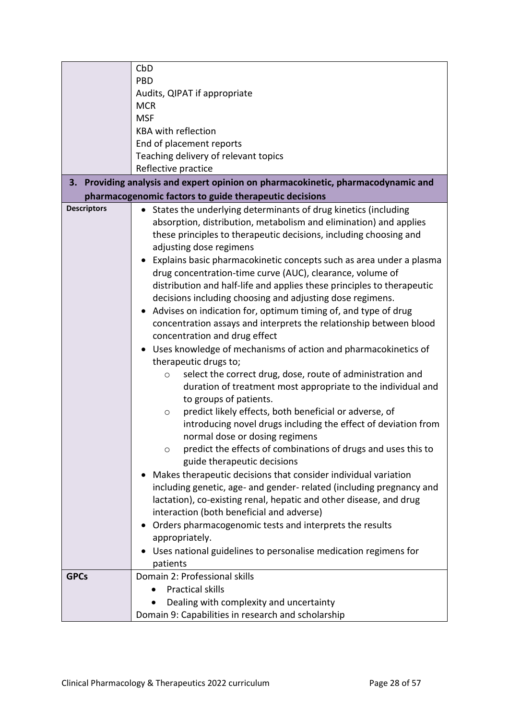|                    | CbD                                                                                                                                                                                                                                                                                                                                                                                                                                                                                                                                                                                                                                                                                                                                                                                                                                                                                                                                                                                                                                                                                                                                                                                                                                                                                                                                                                                                                                                                                                                                                                                                                                                                   |
|--------------------|-----------------------------------------------------------------------------------------------------------------------------------------------------------------------------------------------------------------------------------------------------------------------------------------------------------------------------------------------------------------------------------------------------------------------------------------------------------------------------------------------------------------------------------------------------------------------------------------------------------------------------------------------------------------------------------------------------------------------------------------------------------------------------------------------------------------------------------------------------------------------------------------------------------------------------------------------------------------------------------------------------------------------------------------------------------------------------------------------------------------------------------------------------------------------------------------------------------------------------------------------------------------------------------------------------------------------------------------------------------------------------------------------------------------------------------------------------------------------------------------------------------------------------------------------------------------------------------------------------------------------------------------------------------------------|
|                    | <b>PBD</b>                                                                                                                                                                                                                                                                                                                                                                                                                                                                                                                                                                                                                                                                                                                                                                                                                                                                                                                                                                                                                                                                                                                                                                                                                                                                                                                                                                                                                                                                                                                                                                                                                                                            |
|                    | Audits, QIPAT if appropriate                                                                                                                                                                                                                                                                                                                                                                                                                                                                                                                                                                                                                                                                                                                                                                                                                                                                                                                                                                                                                                                                                                                                                                                                                                                                                                                                                                                                                                                                                                                                                                                                                                          |
|                    | <b>MCR</b>                                                                                                                                                                                                                                                                                                                                                                                                                                                                                                                                                                                                                                                                                                                                                                                                                                                                                                                                                                                                                                                                                                                                                                                                                                                                                                                                                                                                                                                                                                                                                                                                                                                            |
|                    | <b>MSF</b>                                                                                                                                                                                                                                                                                                                                                                                                                                                                                                                                                                                                                                                                                                                                                                                                                                                                                                                                                                                                                                                                                                                                                                                                                                                                                                                                                                                                                                                                                                                                                                                                                                                            |
|                    | <b>KBA with reflection</b>                                                                                                                                                                                                                                                                                                                                                                                                                                                                                                                                                                                                                                                                                                                                                                                                                                                                                                                                                                                                                                                                                                                                                                                                                                                                                                                                                                                                                                                                                                                                                                                                                                            |
|                    | End of placement reports                                                                                                                                                                                                                                                                                                                                                                                                                                                                                                                                                                                                                                                                                                                                                                                                                                                                                                                                                                                                                                                                                                                                                                                                                                                                                                                                                                                                                                                                                                                                                                                                                                              |
|                    | Teaching delivery of relevant topics                                                                                                                                                                                                                                                                                                                                                                                                                                                                                                                                                                                                                                                                                                                                                                                                                                                                                                                                                                                                                                                                                                                                                                                                                                                                                                                                                                                                                                                                                                                                                                                                                                  |
|                    | Reflective practice                                                                                                                                                                                                                                                                                                                                                                                                                                                                                                                                                                                                                                                                                                                                                                                                                                                                                                                                                                                                                                                                                                                                                                                                                                                                                                                                                                                                                                                                                                                                                                                                                                                   |
|                    | 3. Providing analysis and expert opinion on pharmacokinetic, pharmacodynamic and                                                                                                                                                                                                                                                                                                                                                                                                                                                                                                                                                                                                                                                                                                                                                                                                                                                                                                                                                                                                                                                                                                                                                                                                                                                                                                                                                                                                                                                                                                                                                                                      |
|                    | pharmacogenomic factors to guide therapeutic decisions                                                                                                                                                                                                                                                                                                                                                                                                                                                                                                                                                                                                                                                                                                                                                                                                                                                                                                                                                                                                                                                                                                                                                                                                                                                                                                                                                                                                                                                                                                                                                                                                                |
| <b>Descriptors</b> | • States the underlying determinants of drug kinetics (including<br>absorption, distribution, metabolism and elimination) and applies<br>these principles to therapeutic decisions, including choosing and<br>adjusting dose regimens<br>Explains basic pharmacokinetic concepts such as area under a plasma<br>drug concentration-time curve (AUC), clearance, volume of<br>distribution and half-life and applies these principles to therapeutic<br>decisions including choosing and adjusting dose regimens.<br>Advises on indication for, optimum timing of, and type of drug<br>$\bullet$<br>concentration assays and interprets the relationship between blood<br>concentration and drug effect<br>Uses knowledge of mechanisms of action and pharmacokinetics of<br>therapeutic drugs to;<br>select the correct drug, dose, route of administration and<br>$\circ$<br>duration of treatment most appropriate to the individual and<br>to groups of patients.<br>predict likely effects, both beneficial or adverse, of<br>$\circ$<br>introducing novel drugs including the effect of deviation from<br>normal dose or dosing regimens<br>predict the effects of combinations of drugs and uses this to<br>$\circ$<br>guide therapeutic decisions<br>Makes therapeutic decisions that consider individual variation<br>including genetic, age- and gender- related (including pregnancy and<br>lactation), co-existing renal, hepatic and other disease, and drug<br>interaction (both beneficial and adverse)<br>Orders pharmacogenomic tests and interprets the results<br>appropriately.<br>Uses national guidelines to personalise medication regimens for |
|                    | patients                                                                                                                                                                                                                                                                                                                                                                                                                                                                                                                                                                                                                                                                                                                                                                                                                                                                                                                                                                                                                                                                                                                                                                                                                                                                                                                                                                                                                                                                                                                                                                                                                                                              |
| <b>GPCs</b>        | Domain 2: Professional skills                                                                                                                                                                                                                                                                                                                                                                                                                                                                                                                                                                                                                                                                                                                                                                                                                                                                                                                                                                                                                                                                                                                                                                                                                                                                                                                                                                                                                                                                                                                                                                                                                                         |
|                    | <b>Practical skills</b>                                                                                                                                                                                                                                                                                                                                                                                                                                                                                                                                                                                                                                                                                                                                                                                                                                                                                                                                                                                                                                                                                                                                                                                                                                                                                                                                                                                                                                                                                                                                                                                                                                               |
|                    | Dealing with complexity and uncertainty                                                                                                                                                                                                                                                                                                                                                                                                                                                                                                                                                                                                                                                                                                                                                                                                                                                                                                                                                                                                                                                                                                                                                                                                                                                                                                                                                                                                                                                                                                                                                                                                                               |
|                    | Domain 9: Capabilities in research and scholarship                                                                                                                                                                                                                                                                                                                                                                                                                                                                                                                                                                                                                                                                                                                                                                                                                                                                                                                                                                                                                                                                                                                                                                                                                                                                                                                                                                                                                                                                                                                                                                                                                    |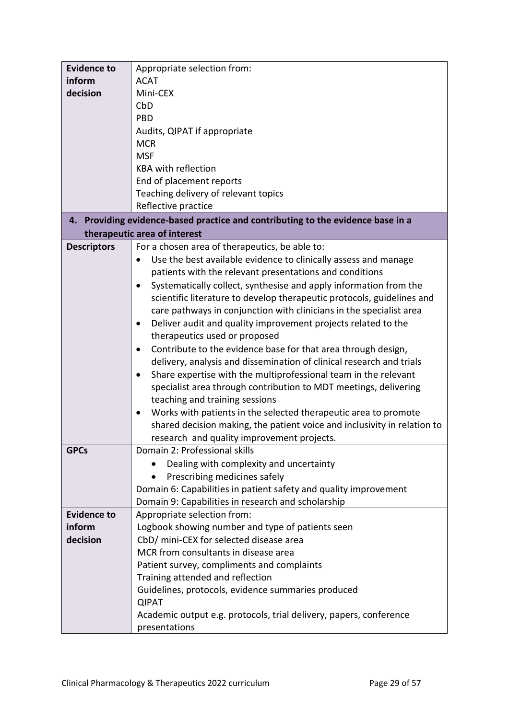| <b>Evidence to</b> | Appropriate selection from:                                                       |
|--------------------|-----------------------------------------------------------------------------------|
| inform             | <b>ACAT</b>                                                                       |
| decision           | Mini-CEX                                                                          |
|                    | CbD                                                                               |
|                    | <b>PBD</b>                                                                        |
|                    | Audits, QIPAT if appropriate                                                      |
|                    | <b>MCR</b>                                                                        |
|                    | <b>MSF</b>                                                                        |
|                    | <b>KBA with reflection</b>                                                        |
|                    | End of placement reports                                                          |
|                    | Teaching delivery of relevant topics                                              |
|                    | Reflective practice                                                               |
| 4.                 | Providing evidence-based practice and contributing to the evidence base in a      |
|                    | therapeutic area of interest                                                      |
| <b>Descriptors</b> | For a chosen area of therapeutics, be able to:                                    |
|                    | Use the best available evidence to clinically assess and manage                   |
|                    | patients with the relevant presentations and conditions                           |
|                    | Systematically collect, synthesise and apply information from the                 |
|                    | scientific literature to develop therapeutic protocols, guidelines and            |
|                    | care pathways in conjunction with clinicians in the specialist area               |
|                    | Deliver audit and quality improvement projects related to the                     |
|                    | therapeutics used or proposed                                                     |
|                    | Contribute to the evidence base for that area through design,                     |
|                    | delivery, analysis and dissemination of clinical research and trials              |
|                    | Share expertise with the multiprofessional team in the relevant<br>$\bullet$      |
|                    | specialist area through contribution to MDT meetings, delivering                  |
|                    | teaching and training sessions                                                    |
|                    | Works with patients in the selected therapeutic area to promote                   |
|                    | shared decision making, the patient voice and inclusivity in relation to          |
|                    | research and quality improvement projects.                                        |
| <b>GPCs</b>        | Domain 2: Professional skills                                                     |
|                    | Dealing with complexity and uncertainty                                           |
|                    | Prescribing medicines safely                                                      |
|                    | Domain 6: Capabilities in patient safety and quality improvement                  |
| <b>Evidence to</b> | Domain 9: Capabilities in research and scholarship<br>Appropriate selection from: |
| inform             | Logbook showing number and type of patients seen                                  |
| decision           | CbD/ mini-CEX for selected disease area                                           |
|                    | MCR from consultants in disease area                                              |
|                    | Patient survey, compliments and complaints                                        |
|                    | Training attended and reflection                                                  |
|                    | Guidelines, protocols, evidence summaries produced                                |
|                    | <b>QIPAT</b>                                                                      |
|                    | Academic output e.g. protocols, trial delivery, papers, conference                |
|                    | presentations                                                                     |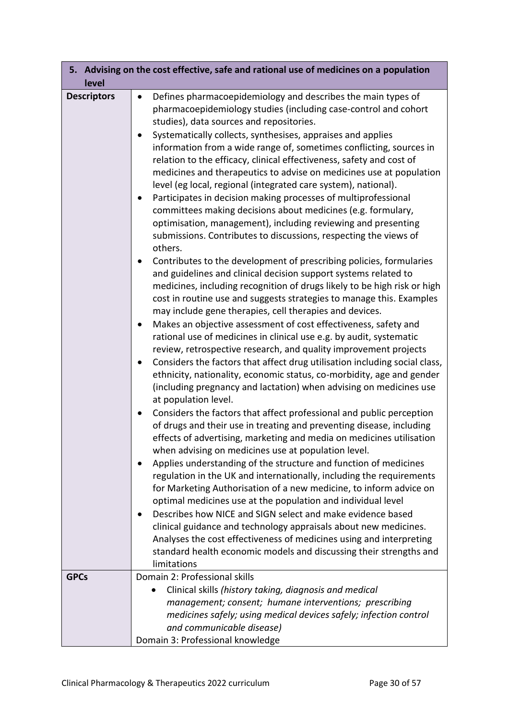| level              | 5. Advising on the cost effective, safe and rational use of medicines on a population                                                               |
|--------------------|-----------------------------------------------------------------------------------------------------------------------------------------------------|
| <b>Descriptors</b> | Defines pharmacoepidemiology and describes the main types of<br>pharmacoepidemiology studies (including case-control and cohort                     |
|                    | studies), data sources and repositories.                                                                                                            |
|                    | Systematically collects, synthesises, appraises and applies                                                                                         |
|                    | information from a wide range of, sometimes conflicting, sources in                                                                                 |
|                    | relation to the efficacy, clinical effectiveness, safety and cost of                                                                                |
|                    | medicines and therapeutics to advise on medicines use at population                                                                                 |
|                    | level (eg local, regional (integrated care system), national).                                                                                      |
|                    | Participates in decision making processes of multiprofessional                                                                                      |
|                    | committees making decisions about medicines (e.g. formulary,<br>optimisation, management), including reviewing and presenting                       |
|                    | submissions. Contributes to discussions, respecting the views of                                                                                    |
|                    | others.                                                                                                                                             |
|                    | Contributes to the development of prescribing policies, formularies                                                                                 |
|                    | and guidelines and clinical decision support systems related to                                                                                     |
|                    | medicines, including recognition of drugs likely to be high risk or high                                                                            |
|                    | cost in routine use and suggests strategies to manage this. Examples                                                                                |
|                    | may include gene therapies, cell therapies and devices.                                                                                             |
|                    | Makes an objective assessment of cost effectiveness, safety and                                                                                     |
|                    | rational use of medicines in clinical use e.g. by audit, systematic                                                                                 |
|                    | review, retrospective research, and quality improvement projects<br>Considers the factors that affect drug utilisation including social class,<br>٠ |
|                    | ethnicity, nationality, economic status, co-morbidity, age and gender                                                                               |
|                    | (including pregnancy and lactation) when advising on medicines use                                                                                  |
|                    | at population level.                                                                                                                                |
|                    | Considers the factors that affect professional and public perception                                                                                |
|                    | of drugs and their use in treating and preventing disease, including                                                                                |
|                    | effects of advertising, marketing and media on medicines utilisation                                                                                |
|                    | when advising on medicines use at population level.                                                                                                 |
|                    | Applies understanding of the structure and function of medicines                                                                                    |
|                    | regulation in the UK and internationally, including the requirements                                                                                |
|                    | for Marketing Authorisation of a new medicine, to inform advice on<br>optimal medicines use at the population and individual level                  |
|                    | Describes how NICE and SIGN select and make evidence based                                                                                          |
|                    | clinical guidance and technology appraisals about new medicines.                                                                                    |
|                    | Analyses the cost effectiveness of medicines using and interpreting                                                                                 |
|                    | standard health economic models and discussing their strengths and                                                                                  |
|                    | limitations                                                                                                                                         |
| <b>GPCs</b>        | Domain 2: Professional skills                                                                                                                       |
|                    | Clinical skills (history taking, diagnosis and medical                                                                                              |
|                    | management; consent; humane interventions; prescribing                                                                                              |
|                    | medicines safely; using medical devices safely; infection control                                                                                   |
|                    | and communicable disease)<br>Domain 3: Professional knowledge                                                                                       |
|                    |                                                                                                                                                     |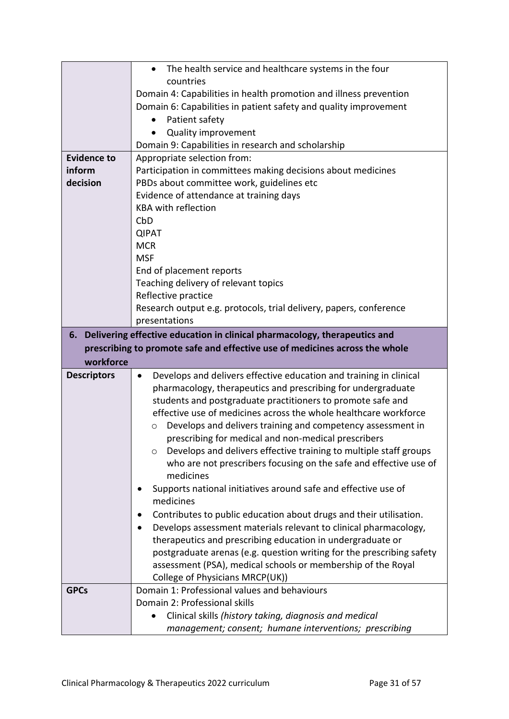|                    | The health service and healthcare systems in the four<br>$\bullet$                                                              |
|--------------------|---------------------------------------------------------------------------------------------------------------------------------|
|                    | countries                                                                                                                       |
|                    | Domain 4: Capabilities in health promotion and illness prevention                                                               |
|                    | Domain 6: Capabilities in patient safety and quality improvement                                                                |
|                    | Patient safety<br>٠                                                                                                             |
|                    | <b>Quality improvement</b>                                                                                                      |
|                    | Domain 9: Capabilities in research and scholarship                                                                              |
| <b>Evidence to</b> | Appropriate selection from:                                                                                                     |
| inform             | Participation in committees making decisions about medicines                                                                    |
| decision           | PBDs about committee work, guidelines etc                                                                                       |
|                    | Evidence of attendance at training days                                                                                         |
|                    | <b>KBA with reflection</b>                                                                                                      |
|                    | CbD                                                                                                                             |
|                    | <b>QIPAT</b>                                                                                                                    |
|                    | <b>MCR</b>                                                                                                                      |
|                    | <b>MSF</b>                                                                                                                      |
|                    | End of placement reports                                                                                                        |
|                    | Teaching delivery of relevant topics                                                                                            |
|                    | Reflective practice                                                                                                             |
|                    | Research output e.g. protocols, trial delivery, papers, conference                                                              |
|                    | presentations                                                                                                                   |
| 6.                 | Delivering effective education in clinical pharmacology, therapeutics and                                                       |
|                    | prescribing to promote safe and effective use of medicines across the whole                                                     |
|                    |                                                                                                                                 |
| workforce          |                                                                                                                                 |
|                    | $\bullet$                                                                                                                       |
| <b>Descriptors</b> | Develops and delivers effective education and training in clinical                                                              |
|                    | pharmacology, therapeutics and prescribing for undergraduate                                                                    |
|                    | students and postgraduate practitioners to promote safe and<br>effective use of medicines across the whole healthcare workforce |
|                    | $\circ$                                                                                                                         |
|                    | Develops and delivers training and competency assessment in<br>prescribing for medical and non-medical prescribers              |
|                    | Develops and delivers effective training to multiple staff groups<br>O                                                          |
|                    | who are not prescribers focusing on the safe and effective use of                                                               |
|                    | medicines                                                                                                                       |
|                    | Supports national initiatives around safe and effective use of                                                                  |
|                    | medicines                                                                                                                       |
|                    | Contributes to public education about drugs and their utilisation.                                                              |
|                    | Develops assessment materials relevant to clinical pharmacology,                                                                |
|                    | therapeutics and prescribing education in undergraduate or                                                                      |
|                    | postgraduate arenas (e.g. question writing for the prescribing safety                                                           |
|                    | assessment (PSA), medical schools or membership of the Royal                                                                    |
|                    | College of Physicians MRCP(UK))                                                                                                 |
| <b>GPCs</b>        | Domain 1: Professional values and behaviours                                                                                    |
|                    | Domain 2: Professional skills                                                                                                   |
|                    | Clinical skills (history taking, diagnosis and medical                                                                          |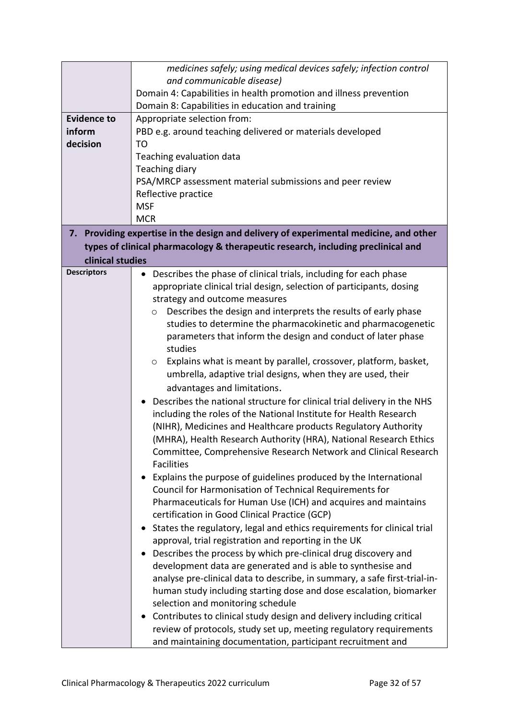|                    | medicines safely; using medical devices safely; infection control                     |
|--------------------|---------------------------------------------------------------------------------------|
|                    | and communicable disease)                                                             |
|                    | Domain 4: Capabilities in health promotion and illness prevention                     |
|                    | Domain 8: Capabilities in education and training                                      |
| <b>Evidence to</b> | Appropriate selection from:                                                           |
| inform             | PBD e.g. around teaching delivered or materials developed                             |
| decision           | TO                                                                                    |
|                    | Teaching evaluation data                                                              |
|                    | <b>Teaching diary</b>                                                                 |
|                    | PSA/MRCP assessment material submissions and peer review                              |
|                    | Reflective practice                                                                   |
|                    | <b>MSF</b>                                                                            |
|                    | <b>MCR</b>                                                                            |
|                    | 7. Providing expertise in the design and delivery of experimental medicine, and other |
|                    | types of clinical pharmacology & therapeutic research, including preclinical and      |
| clinical studies   |                                                                                       |
| <b>Descriptors</b> | Describes the phase of clinical trials, including for each phase<br>$\bullet$         |
|                    | appropriate clinical trial design, selection of participants, dosing                  |
|                    | strategy and outcome measures                                                         |
|                    | Describes the design and interprets the results of early phase<br>$\circ$             |
|                    | studies to determine the pharmacokinetic and pharmacogenetic                          |
|                    | parameters that inform the design and conduct of later phase                          |
|                    | studies                                                                               |
|                    | Explains what is meant by parallel, crossover, platform, basket,<br>O                 |
|                    | umbrella, adaptive trial designs, when they are used, their                           |
|                    | advantages and limitations.                                                           |
|                    | Describes the national structure for clinical trial delivery in the NHS               |
|                    | including the roles of the National Institute for Health Research                     |
|                    | (NIHR), Medicines and Healthcare products Regulatory Authority                        |
|                    | (MHRA), Health Research Authority (HRA), National Research Ethics                     |
|                    | Committee, Comprehensive Research Network and Clinical Research                       |
|                    | <b>Facilities</b>                                                                     |
|                    | Explains the purpose of guidelines produced by the International                      |
|                    | Council for Harmonisation of Technical Requirements for                               |
|                    | Pharmaceuticals for Human Use (ICH) and acquires and maintains                        |
|                    | certification in Good Clinical Practice (GCP)                                         |
|                    | States the regulatory, legal and ethics requirements for clinical trial               |
|                    | approval, trial registration and reporting in the UK                                  |
|                    | Describes the process by which pre-clinical drug discovery and                        |
|                    |                                                                                       |
|                    | development data are generated and is able to synthesise and                          |
|                    | analyse pre-clinical data to describe, in summary, a safe first-trial-in-             |
|                    | human study including starting dose and dose escalation, biomarker                    |
|                    | selection and monitoring schedule                                                     |
|                    | Contributes to clinical study design and delivery including critical                  |
|                    | review of protocols, study set up, meeting regulatory requirements                    |
|                    | and maintaining documentation, participant recruitment and                            |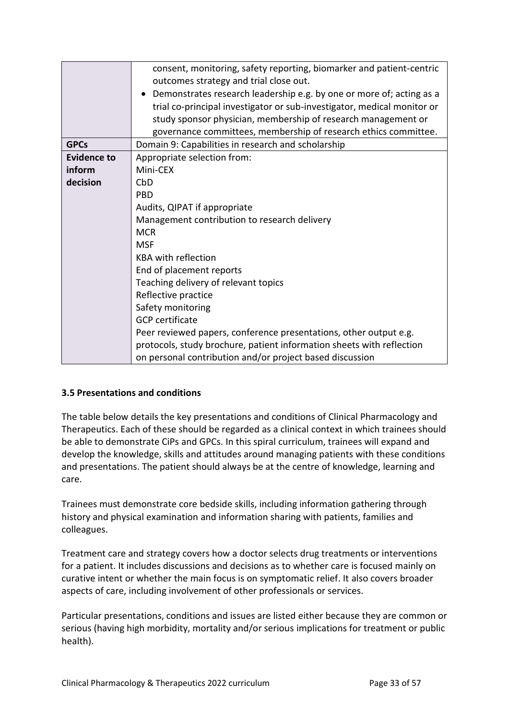|                    | consent, monitoring, safety reporting, biomarker and patient-centric    |
|--------------------|-------------------------------------------------------------------------|
|                    | outcomes strategy and trial close out.                                  |
|                    | Demonstrates research leadership e.g. by one or more of; acting as a    |
|                    | trial co-principal investigator or sub-investigator, medical monitor or |
|                    | study sponsor physician, membership of research management or           |
|                    | governance committees, membership of research ethics committee.         |
| <b>GPCs</b>        | Domain 9: Capabilities in research and scholarship                      |
| <b>Evidence to</b> | Appropriate selection from:                                             |
| inform             | Mini-CEX                                                                |
| decision           | CbD                                                                     |
|                    | <b>PBD</b>                                                              |
|                    | Audits, QIPAT if appropriate                                            |
|                    | Management contribution to research delivery                            |
|                    | <b>MCR</b>                                                              |
|                    | <b>MSF</b>                                                              |
|                    | <b>KBA with reflection</b>                                              |
|                    | End of placement reports                                                |
|                    | Teaching delivery of relevant topics                                    |
|                    | Reflective practice                                                     |
|                    | Safety monitoring                                                       |
|                    | <b>GCP</b> certificate                                                  |
|                    | Peer reviewed papers, conference presentations, other output e.g.       |
|                    | protocols, study brochure, patient information sheets with reflection   |
|                    | on personal contribution and/or project based discussion                |

# <span id="page-32-0"></span>**3.5 Presentations and conditions**

The table below details the key presentations and conditions of Clinical Pharmacology and Therapeutics. Each of these should be regarded as a clinical context in which trainees should be able to demonstrate CiPs and GPCs. In this spiral curriculum, trainees will expand and develop the knowledge, skills and attitudes around managing patients with these conditions and presentations. The patient should always be at the centre of knowledge, learning and care.

Trainees must demonstrate core bedside skills, including information gathering through history and physical examination and information sharing with patients, families and colleagues.

Treatment care and strategy covers how a doctor selects drug treatments or interventions for a patient. It includes discussions and decisions as to whether care is focused mainly on curative intent or whether the main focus is on symptomatic relief. It also covers broader aspects of care, including involvement of other professionals or services.

Particular presentations, conditions and issues are listed either because they are common or serious (having high morbidity, mortality and/or serious implications for treatment or public health).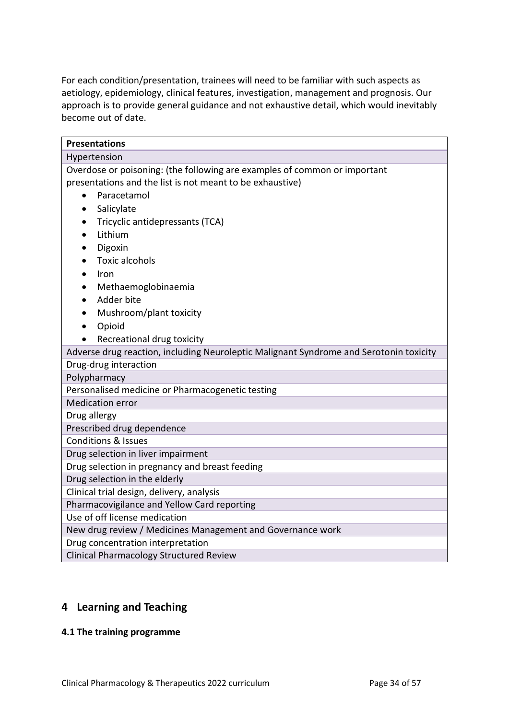For each condition/presentation, trainees will need to be familiar with such aspects as aetiology, epidemiology, clinical features, investigation, management and prognosis. Our approach is to provide general guidance and not exhaustive detail, which would inevitably become out of date.

| <b>Presentations</b>                                                                            |  |  |
|-------------------------------------------------------------------------------------------------|--|--|
| Hypertension                                                                                    |  |  |
| Overdose or poisoning: (the following are examples of common or important                       |  |  |
| presentations and the list is not meant to be exhaustive)                                       |  |  |
| Paracetamol<br>$\bullet$                                                                        |  |  |
| Salicylate<br>$\bullet$                                                                         |  |  |
| Tricyclic antidepressants (TCA)                                                                 |  |  |
| Lithium                                                                                         |  |  |
| Digoxin<br>$\bullet$                                                                            |  |  |
| <b>Toxic alcohols</b>                                                                           |  |  |
| Iron                                                                                            |  |  |
| Methaemoglobinaemia                                                                             |  |  |
| Adder bite                                                                                      |  |  |
| Mushroom/plant toxicity                                                                         |  |  |
| Opioid                                                                                          |  |  |
| Recreational drug toxicity                                                                      |  |  |
| Adverse drug reaction, including Neuroleptic Malignant Syndrome and Serotonin toxicity          |  |  |
| Drug-drug interaction                                                                           |  |  |
| Polypharmacy                                                                                    |  |  |
| Personalised medicine or Pharmacogenetic testing                                                |  |  |
| <b>Medication error</b>                                                                         |  |  |
| Drug allergy                                                                                    |  |  |
| Prescribed drug dependence                                                                      |  |  |
| <b>Conditions &amp; Issues</b>                                                                  |  |  |
| Drug selection in liver impairment                                                              |  |  |
| Drug selection in pregnancy and breast feeding                                                  |  |  |
| Drug selection in the elderly                                                                   |  |  |
| Clinical trial design, delivery, analysis                                                       |  |  |
| Pharmacovigilance and Yellow Card reporting<br>Use of off license medication                    |  |  |
|                                                                                                 |  |  |
| New drug review / Medicines Management and Governance work<br>Drug concentration interpretation |  |  |
| Clinical Pharmacology Structured Review                                                         |  |  |
|                                                                                                 |  |  |

# <span id="page-33-0"></span>**4 Learning and Teaching**

# <span id="page-33-1"></span>**4.1 The training programme**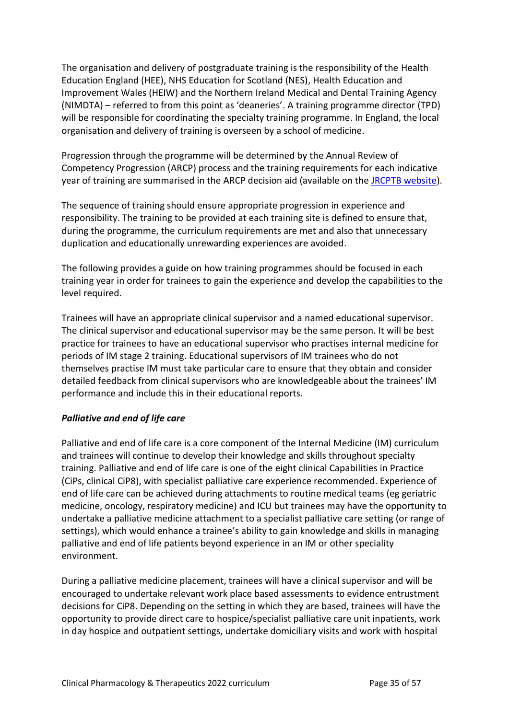The organisation and delivery of postgraduate training is the responsibility of the Health Education England (HEE), NHS Education for Scotland (NES), Health Education and Improvement Wales (HEIW) and the Northern Ireland Medical and Dental Training Agency (NIMDTA) – referred to from this point as 'deaneries'. A training programme director (TPD) will be responsible for coordinating the specialty training programme. In England, the local organisation and delivery of training is overseen by a school of medicine.

Progression through the programme will be determined by the Annual Review of Competency Progression (ARCP) process and the training requirements for each indicative year of training are summarised in the ARCP decision aid (available on the **JRCPTB website**).

The sequence of training should ensure appropriate progression in experience and responsibility. The training to be provided at each training site is defined to ensure that, during the programme, the curriculum requirements are met and also that unnecessary duplication and educationally unrewarding experiences are avoided.

The following provides a guide on how training programmes should be focused in each training year in order for trainees to gain the experience and develop the capabilities to the level required.

Trainees will have an appropriate clinical supervisor and a named educational supervisor. The clinical supervisor and educational supervisor may be the same person. It will be best practice for trainees to have an educational supervisor who practises internal medicine for periods of IM stage 2 training. Educational supervisors of IM trainees who do not themselves practise IM must take particular care to ensure that they obtain and consider detailed feedback from clinical supervisors who are knowledgeable about the trainees' IM performance and include this in their educational reports.

# *Palliative and end of life care*

Palliative and end of life care is a core component of the Internal Medicine (IM) curriculum and trainees will continue to develop their knowledge and skills throughout specialty training. Palliative and end of life care is one of the eight clinical Capabilities in Practice (CiPs, clinical CiP8), with specialist palliative care experience recommended. Experience of end of life care can be achieved during attachments to routine medical teams (eg geriatric medicine, oncology, respiratory medicine) and ICU but trainees may have the opportunity to undertake a palliative medicine attachment to a specialist palliative care setting (or range of settings), which would enhance a trainee's ability to gain knowledge and skills in managing palliative and end of life patients beyond experience in an IM or other speciality environment.

During a palliative medicine placement, trainees will have a clinical supervisor and will be encouraged to undertake relevant work place based assessments to evidence entrustment decisions for CiP8. Depending on the setting in which they are based, trainees will have the opportunity to provide direct care to hospice/specialist palliative care unit inpatients, work in day hospice and outpatient settings, undertake domiciliary visits and work with hospital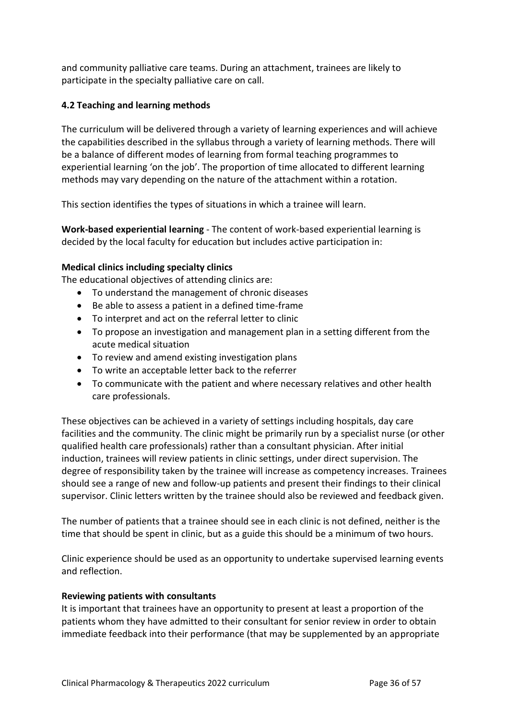and community palliative care teams. During an attachment, trainees are likely to participate in the specialty palliative care on call.

# <span id="page-35-0"></span>**4.2 Teaching and learning methods**

The curriculum will be delivered through a variety of learning experiences and will achieve the capabilities described in the syllabus through a variety of learning methods. There will be a balance of different modes of learning from formal teaching programmes to experiential learning 'on the job'. The proportion of time allocated to different learning methods may vary depending on the nature of the attachment within a rotation.

This section identifies the types of situations in which a trainee will learn.

**Work-based experiential learning** - The content of work-based experiential learning is decided by the local faculty for education but includes active participation in:

# **Medical clinics including specialty clinics**

The educational objectives of attending clinics are:

- To understand the management of chronic diseases
- Be able to assess a patient in a defined time-frame
- To interpret and act on the referral letter to clinic
- To propose an investigation and management plan in a setting different from the acute medical situation
- To review and amend existing investigation plans
- To write an acceptable letter back to the referrer
- To communicate with the patient and where necessary relatives and other health care professionals.

These objectives can be achieved in a variety of settings including hospitals, day care facilities and the community. The clinic might be primarily run by a specialist nurse (or other qualified health care professionals) rather than a consultant physician. After initial induction, trainees will review patients in clinic settings, under direct supervision. The degree of responsibility taken by the trainee will increase as competency increases. Trainees should see a range of new and follow-up patients and present their findings to their clinical supervisor. Clinic letters written by the trainee should also be reviewed and feedback given.

The number of patients that a trainee should see in each clinic is not defined, neither is the time that should be spent in clinic, but as a guide this should be a minimum of two hours.

Clinic experience should be used as an opportunity to undertake supervised learning events and reflection.

## **Reviewing patients with consultants**

It is important that trainees have an opportunity to present at least a proportion of the patients whom they have admitted to their consultant for senior review in order to obtain immediate feedback into their performance (that may be supplemented by an appropriate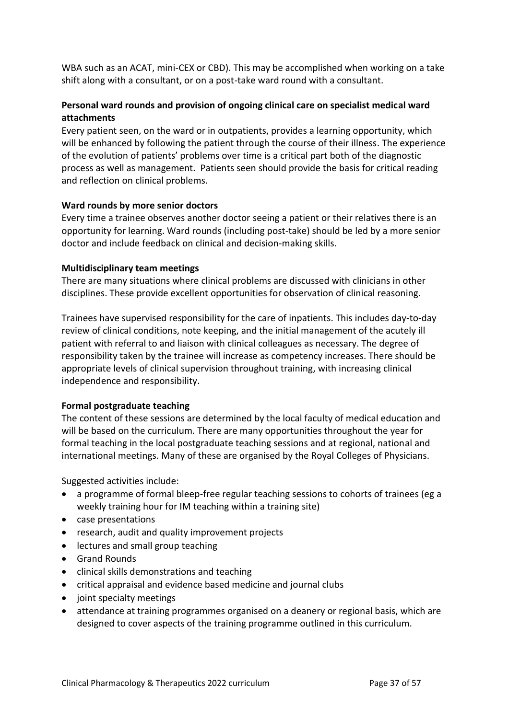WBA such as an ACAT, mini-CEX or CBD). This may be accomplished when working on a take shift along with a consultant, or on a post-take ward round with a consultant.

# **Personal ward rounds and provision of ongoing clinical care on specialist medical ward attachments**

Every patient seen, on the ward or in outpatients, provides a learning opportunity, which will be enhanced by following the patient through the course of their illness. The experience of the evolution of patients' problems over time is a critical part both of the diagnostic process as well as management. Patients seen should provide the basis for critical reading and reflection on clinical problems.

## **Ward rounds by more senior doctors**

Every time a trainee observes another doctor seeing a patient or their relatives there is an opportunity for learning. Ward rounds (including post-take) should be led by a more senior doctor and include feedback on clinical and decision-making skills.

## **Multidisciplinary team meetings**

There are many situations where clinical problems are discussed with clinicians in other disciplines. These provide excellent opportunities for observation of clinical reasoning.

Trainees have supervised responsibility for the care of inpatients. This includes day-to-day review of clinical conditions, note keeping, and the initial management of the acutely ill patient with referral to and liaison with clinical colleagues as necessary. The degree of responsibility taken by the trainee will increase as competency increases. There should be appropriate levels of clinical supervision throughout training, with increasing clinical independence and responsibility.

# **Formal postgraduate teaching**

The content of these sessions are determined by the local faculty of medical education and will be based on the curriculum. There are many opportunities throughout the year for formal teaching in the local postgraduate teaching sessions and at regional, national and international meetings. Many of these are organised by the Royal Colleges of Physicians.

Suggested activities include:

- a programme of formal bleep-free regular teaching sessions to cohorts of trainees (eg a weekly training hour for IM teaching within a training site)
- case presentations
- research, audit and quality improvement projects
- lectures and small group teaching
- Grand Rounds
- clinical skills demonstrations and teaching
- critical appraisal and evidence based medicine and journal clubs
- joint specialty meetings
- attendance at training programmes organised on a deanery or regional basis, which are designed to cover aspects of the training programme outlined in this curriculum.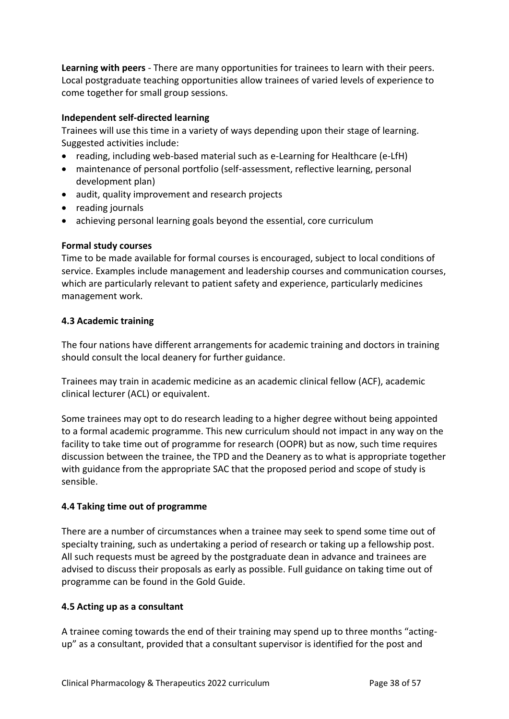**Learning with peers** - There are many opportunities for trainees to learn with their peers. Local postgraduate teaching opportunities allow trainees of varied levels of experience to come together for small group sessions.

## **Independent self-directed learning**

Trainees will use this time in a variety of ways depending upon their stage of learning. Suggested activities include:

- reading, including web-based material such as e-Learning for Healthcare (e-LfH)
- maintenance of personal portfolio (self-assessment, reflective learning, personal development plan)
- audit, quality improvement and research projects
- reading journals
- achieving personal learning goals beyond the essential, core curriculum

## **Formal study courses**

Time to be made available for formal courses is encouraged, subject to local conditions of service. Examples include management and leadership courses and communication courses, which are particularly relevant to patient safety and experience, particularly medicines management work.

## <span id="page-37-0"></span>**4.3 Academic training**

The four nations have different arrangements for academic training and doctors in training should consult the local deanery for further guidance.

Trainees may train in academic medicine as an academic clinical fellow (ACF), academic clinical lecturer (ACL) or equivalent.

Some trainees may opt to do research leading to a higher degree without being appointed to a formal academic programme. This new curriculum should not impact in any way on the facility to take time out of programme for research (OOPR) but as now, such time requires discussion between the trainee, the TPD and the Deanery as to what is appropriate together with guidance from the appropriate SAC that the proposed period and scope of study is sensible.

# <span id="page-37-1"></span>**4.4 Taking time out of programme**

There are a number of circumstances when a trainee may seek to spend some time out of specialty training, such as undertaking a period of research or taking up a fellowship post. All such requests must be agreed by the postgraduate dean in advance and trainees are advised to discuss their proposals as early as possible. Full guidance on taking time out of programme can be found in the Gold Guide.

# <span id="page-37-2"></span>**4.5 Acting up as a consultant**

A trainee coming towards the end of their training may spend up to three months "actingup" as a consultant, provided that a consultant supervisor is identified for the post and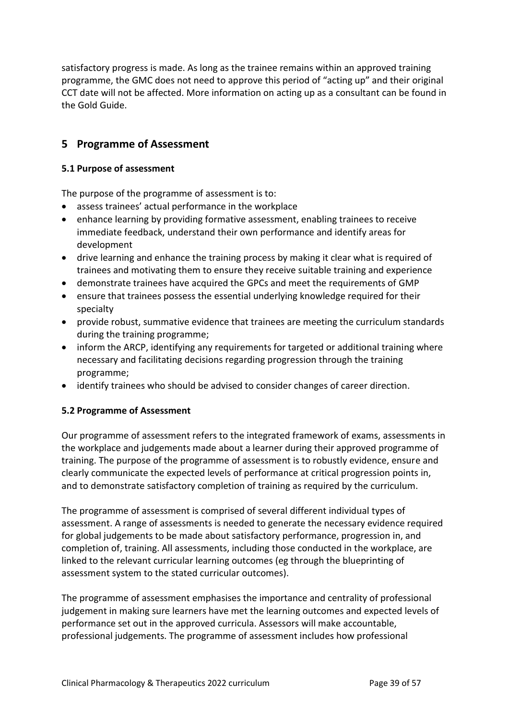satisfactory progress is made. As long as the trainee remains within an approved training programme, the GMC does not need to approve this period of "acting up" and their original CCT date will not be affected. More information on acting up as a consultant can be found in the Gold Guide.

# <span id="page-38-0"></span>**5 Programme of Assessment**

## <span id="page-38-1"></span>**5.1 Purpose of assessment**

The purpose of the programme of assessment is to:

- assess trainees' actual performance in the workplace
- enhance learning by providing formative assessment, enabling trainees to receive immediate feedback, understand their own performance and identify areas for development
- drive learning and enhance the training process by making it clear what is required of trainees and motivating them to ensure they receive suitable training and experience
- demonstrate trainees have acquired the GPCs and meet the requirements of GMP
- ensure that trainees possess the essential underlying knowledge required for their specialty
- provide robust, summative evidence that trainees are meeting the curriculum standards during the training programme;
- inform the ARCP, identifying any requirements for targeted or additional training where necessary and facilitating decisions regarding progression through the training programme;
- identify trainees who should be advised to consider changes of career direction.

# <span id="page-38-2"></span>**5.2 Programme of Assessment**

Our programme of assessment refers to the integrated framework of exams, assessments in the workplace and judgements made about a learner during their approved programme of training. The purpose of the programme of assessment is to robustly evidence, ensure and clearly communicate the expected levels of performance at critical progression points in, and to demonstrate satisfactory completion of training as required by the curriculum.

The programme of assessment is comprised of several different individual types of assessment. A range of assessments is needed to generate the necessary evidence required for global judgements to be made about satisfactory performance, progression in, and completion of, training. All assessments, including those conducted in the workplace, are linked to the relevant curricular learning outcomes (eg through the blueprinting of assessment system to the stated curricular outcomes).

The programme of assessment emphasises the importance and centrality of professional judgement in making sure learners have met the learning outcomes and expected levels of performance set out in the approved curricula. Assessors will make accountable, professional judgements. The programme of assessment includes how professional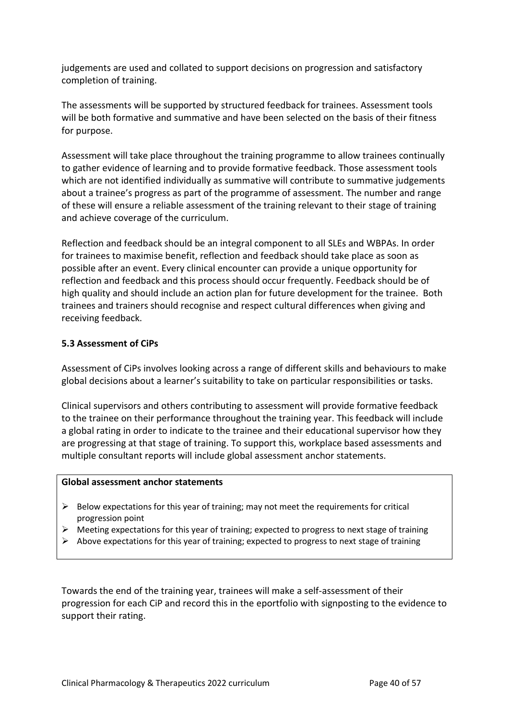judgements are used and collated to support decisions on progression and satisfactory completion of training.

The assessments will be supported by structured feedback for trainees. Assessment tools will be both formative and summative and have been selected on the basis of their fitness for purpose.

Assessment will take place throughout the training programme to allow trainees continually to gather evidence of learning and to provide formative feedback. Those assessment tools which are not identified individually as summative will contribute to summative judgements about a trainee's progress as part of the programme of assessment. The number and range of these will ensure a reliable assessment of the training relevant to their stage of training and achieve coverage of the curriculum.

Reflection and feedback should be an integral component to all SLEs and WBPAs. In order for trainees to maximise benefit, reflection and feedback should take place as soon as possible after an event. Every clinical encounter can provide a unique opportunity for reflection and feedback and this process should occur frequently. Feedback should be of high quality and should include an action plan for future development for the trainee. Both trainees and trainers should recognise and respect cultural differences when giving and receiving feedback.

## <span id="page-39-0"></span>**5.3 Assessment of CiPs**

Assessment of CiPs involves looking across a range of different skills and behaviours to make global decisions about a learner's suitability to take on particular responsibilities or tasks.

Clinical supervisors and others contributing to assessment will provide formative feedback to the trainee on their performance throughout the training year. This feedback will include a global rating in order to indicate to the trainee and their educational supervisor how they are progressing at that stage of training. To support this, workplace based assessments and multiple consultant reports will include global assessment anchor statements.

#### **Global assessment anchor statements**

- $\triangleright$  Below expectations for this year of training; may not meet the requirements for critical progression point
- $\triangleright$  Meeting expectations for this year of training; expected to progress to next stage of training
- ➢ Above expectations for this year of training; expected to progress to next stage of training

Towards the end of the training year, trainees will make a self-assessment of their progression for each CiP and record this in the eportfolio with signposting to the evidence to support their rating.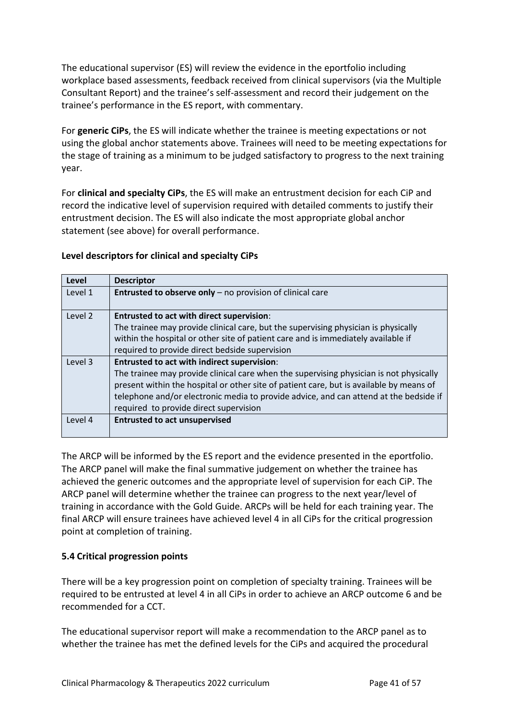The educational supervisor (ES) will review the evidence in the eportfolio including workplace based assessments, feedback received from clinical supervisors (via the Multiple Consultant Report) and the trainee's self-assessment and record their judgement on the trainee's performance in the ES report, with commentary.

For **generic CiPs**, the ES will indicate whether the trainee is meeting expectations or not using the global anchor statements above. Trainees will need to be meeting expectations for the stage of training as a minimum to be judged satisfactory to progress to the next training year.

For **clinical and specialty CiPs**, the ES will make an entrustment decision for each CiP and record the indicative level of supervision required with detailed comments to justify their entrustment decision. The ES will also indicate the most appropriate global anchor statement (see above) for overall performance.

## **Level descriptors for clinical and specialty CiPs**

| Level   | <b>Descriptor</b>                                                                       |
|---------|-----------------------------------------------------------------------------------------|
| Level 1 | <b>Entrusted to observe only</b> $-$ no provision of clinical care                      |
| Level 2 | <b>Entrusted to act with direct supervision:</b>                                        |
|         | The trainee may provide clinical care, but the supervising physician is physically      |
|         | within the hospital or other site of patient care and is immediately available if       |
|         | required to provide direct bedside supervision                                          |
| Level 3 | <b>Entrusted to act with indirect supervision:</b>                                      |
|         | The trainee may provide clinical care when the supervising physician is not physically  |
|         | present within the hospital or other site of patient care, but is available by means of |
|         | telephone and/or electronic media to provide advice, and can attend at the bedside if   |
|         | required to provide direct supervision                                                  |
| Level 4 | <b>Entrusted to act unsupervised</b>                                                    |
|         |                                                                                         |

The ARCP will be informed by the ES report and the evidence presented in the eportfolio. The ARCP panel will make the final summative judgement on whether the trainee has achieved the generic outcomes and the appropriate level of supervision for each CiP. The ARCP panel will determine whether the trainee can progress to the next year/level of training in accordance with the Gold Guide. ARCPs will be held for each training year. The final ARCP will ensure trainees have achieved level 4 in all CiPs for the critical progression point at completion of training.

## <span id="page-40-0"></span>**5.4 Critical progression points**

There will be a key progression point on completion of specialty training. Trainees will be required to be entrusted at level 4 in all CiPs in order to achieve an ARCP outcome 6 and be recommended for a CCT.

The educational supervisor report will make a recommendation to the ARCP panel as to whether the trainee has met the defined levels for the CiPs and acquired the procedural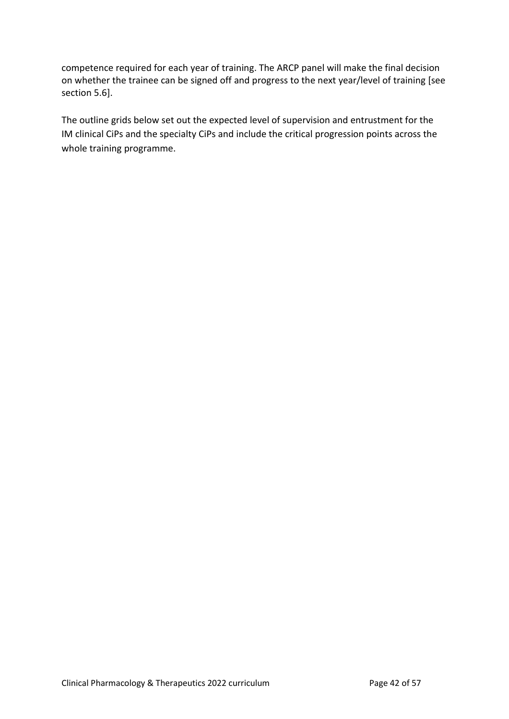competence required for each year of training. The ARCP panel will make the final decision on whether the trainee can be signed off and progress to the next year/level of training [see section 5.6].

The outline grids below set out the expected level of supervision and entrustment for the IM clinical CiPs and the specialty CiPs and include the critical progression points across the whole training programme.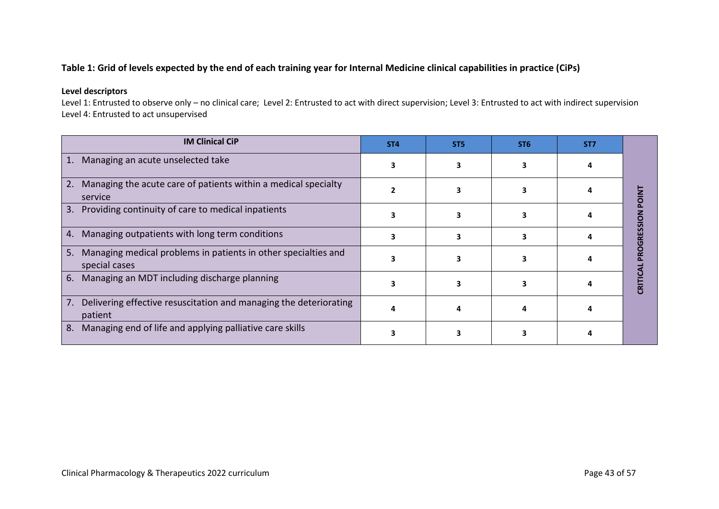# **Table 1: Grid of levels expected by the end of each training year for Internal Medicine clinical capabilities in practice (CiPs)**

#### **Level descriptors**

Level 1: Entrusted to observe only – no clinical care; Level 2: Entrusted to act with direct supervision; Level 3: Entrusted to act with indirect supervision Level 4: Entrusted to act unsupervised

| <b>IM Clinical CiP</b>                                                                | <b>ST4</b> | ST <sub>5</sub> | ST <sub>6</sub> | ST <sub>7</sub> |                |
|---------------------------------------------------------------------------------------|------------|-----------------|-----------------|-----------------|----------------|
| 1.<br>Managing an acute unselected take                                               |            |                 |                 |                 |                |
| Managing the acute care of patients within a medical specialty<br>2.<br>service       |            |                 |                 |                 |                |
| Providing continuity of care to medical inpatients<br>3.                              |            |                 |                 |                 | ESSION         |
| Managing outpatients with long term conditions<br>4.                                  |            |                 |                 |                 | $\overline{6}$ |
| Managing medical problems in patients in other specialties and<br>5.<br>special cases |            |                 |                 |                 |                |
| Managing an MDT including discharge planning<br>6.                                    |            |                 |                 |                 | <b>CRITIC</b>  |
| Delivering effective resuscitation and managing the deteriorating<br>7.<br>patient    |            |                 |                 |                 |                |
| Managing end of life and applying palliative care skills<br>8.                        |            |                 |                 |                 |                |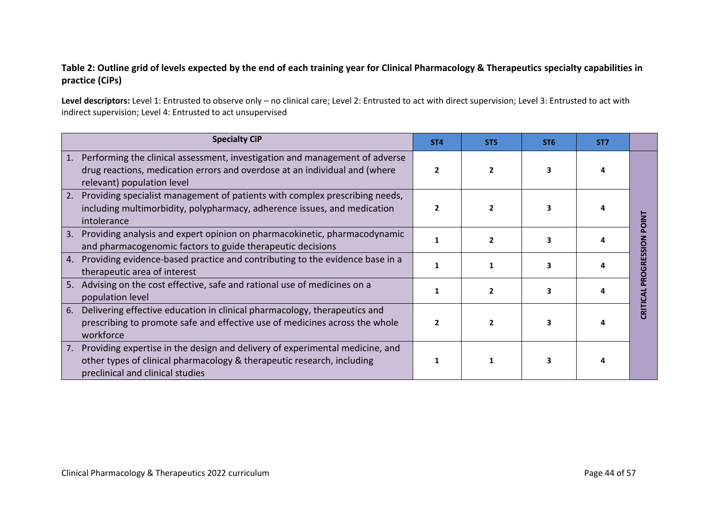# **Table 2: Outline grid of levels expected by the end of each training year for Clinical Pharmacology & Therapeutics specialty capabilities in practice (CiPs)**

Level descriptors: Level 1: Entrusted to observe only - no clinical care; Level 2: Entrusted to act with direct supervision; Level 3: Entrusted to act with indirect supervision; Level 4: Entrusted to act unsupervised

| <b>Specialty CiP</b>                                                                                                                                                                             | ST <sub>4</sub> | ST <sub>5</sub> | ST <sub>6</sub> | ST <sub>7</sub> |  |
|--------------------------------------------------------------------------------------------------------------------------------------------------------------------------------------------------|-----------------|-----------------|-----------------|-----------------|--|
| Performing the clinical assessment, investigation and management of adverse<br>1.<br>drug reactions, medication errors and overdose at an individual and (where<br>relevant) population level    |                 |                 |                 |                 |  |
| Providing specialist management of patients with complex prescribing needs,<br>2.<br>including multimorbidity, polypharmacy, adherence issues, and medication<br>intolerance                     |                 |                 |                 |                 |  |
| Providing analysis and expert opinion on pharmacokinetic, pharmacodynamic<br>3.<br>and pharmacogenomic factors to guide therapeutic decisions                                                    |                 |                 |                 |                 |  |
| Providing evidence-based practice and contributing to the evidence base in a<br>4.<br>therapeutic area of interest                                                                               |                 |                 |                 |                 |  |
| Advising on the cost effective, safe and rational use of medicines on a<br>5.<br>population level                                                                                                |                 |                 |                 |                 |  |
| Delivering effective education in clinical pharmacology, therapeutics and<br>6.<br>prescribing to promote safe and effective use of medicines across the whole<br>workforce                      |                 |                 |                 |                 |  |
| Providing expertise in the design and delivery of experimental medicine, and<br>7.<br>other types of clinical pharmacology & therapeutic research, including<br>preclinical and clinical studies |                 |                 |                 |                 |  |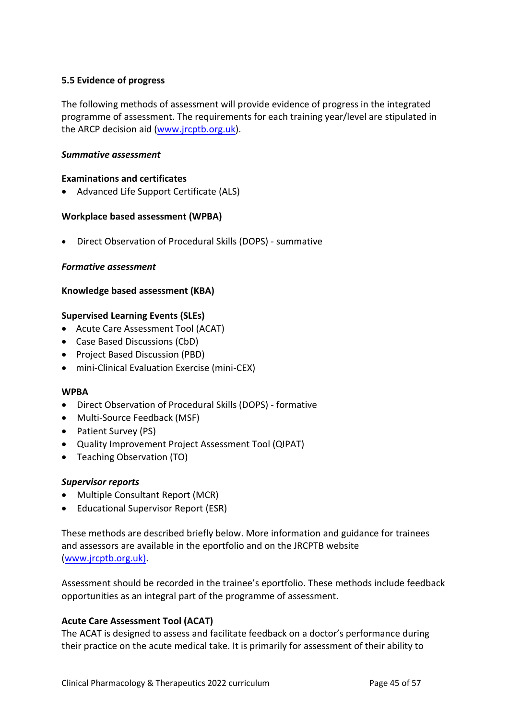## <span id="page-44-0"></span>**5.5 Evidence of progress**

The following methods of assessment will provide evidence of progress in the integrated programme of assessment. The requirements for each training year/level are stipulated in the ARCP decision aid [\(www.jrcptb.org.uk\)](http://www.jrcptb.org.uk/).

#### *Summative assessment*

#### **Examinations and certificates**

• Advanced Life Support Certificate (ALS)

## **Workplace based assessment (WPBA)**

• Direct Observation of Procedural Skills (DOPS) - summative

#### *Formative assessment*

#### **Knowledge based assessment (KBA)**

#### **Supervised Learning Events (SLEs)**

- Acute Care Assessment Tool (ACAT)
- Case Based Discussions (CbD)
- Project Based Discussion (PBD)
- mini-Clinical Evaluation Exercise (mini-CEX)

## **WPBA**

- Direct Observation of Procedural Skills (DOPS) formative
- Multi-Source Feedback (MSF)
- Patient Survey (PS)
- Quality Improvement Project Assessment Tool (QIPAT)
- Teaching Observation (TO)

## *Supervisor reports*

- Multiple Consultant Report (MCR)
- Educational Supervisor Report (ESR)

These methods are described briefly below. More information and guidance for trainees and assessors are available in the eportfolio and on the JRCPTB website [\(www.jrcptb.org.uk\)](http://www.jrcptb.org.uk/).

Assessment should be recorded in the trainee's eportfolio. These methods include feedback opportunities as an integral part of the programme of assessment.

## **Acute Care Assessment Tool (ACAT)**

The ACAT is designed to assess and facilitate feedback on a doctor's performance during their practice on the acute medical take. It is primarily for assessment of their ability to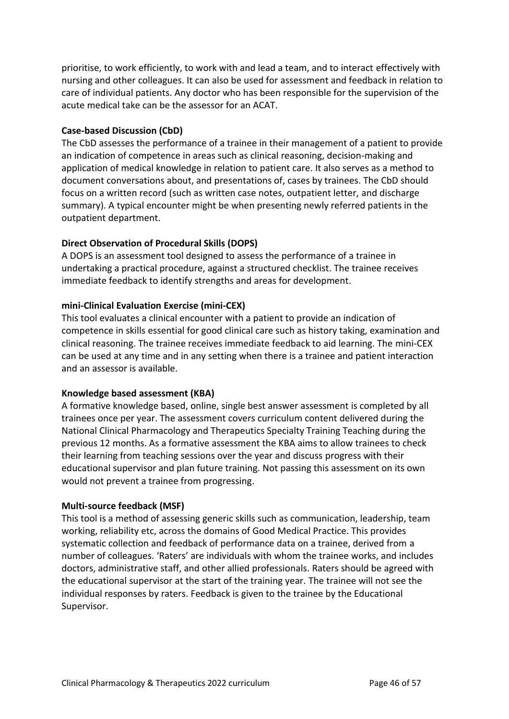prioritise, to work efficiently, to work with and lead a team, and to interact effectively with nursing and other colleagues. It can also be used for assessment and feedback in relation to care of individual patients. Any doctor who has been responsible for the supervision of the acute medical take can be the assessor for an ACAT.

## **Case-based Discussion (CbD)**

The CbD assesses the performance of a trainee in their management of a patient to provide an indication of competence in areas such as clinical reasoning, decision-making and application of medical knowledge in relation to patient care. It also serves as a method to document conversations about, and presentations of, cases by trainees. The CbD should focus on a written record (such as written case notes, outpatient letter, and discharge summary). A typical encounter might be when presenting newly referred patients in the outpatient department.

## **Direct Observation of Procedural Skills (DOPS)**

A DOPS is an assessment tool designed to assess the performance of a trainee in undertaking a practical procedure, against a structured checklist. The trainee receives immediate feedback to identify strengths and areas for development.

## **mini-Clinical Evaluation Exercise (mini-CEX)**

This tool evaluates a clinical encounter with a patient to provide an indication of competence in skills essential for good clinical care such as history taking, examination and clinical reasoning. The trainee receives immediate feedback to aid learning. The mini-CEX can be used at any time and in any setting when there is a trainee and patient interaction and an assessor is available.

## **Knowledge based assessment (KBA)**

A formative knowledge based, online, single best answer assessment is completed by all trainees once per year. The assessment covers curriculum content delivered during the National Clinical Pharmacology and Therapeutics Specialty Training Teaching during the previous 12 months. As a formative assessment the KBA aims to allow trainees to check their learning from teaching sessions over the year and discuss progress with their educational supervisor and plan future training. Not passing this assessment on its own would not prevent a trainee from progressing.

## **Multi-source feedback (MSF)**

This tool is a method of assessing generic skills such as communication, leadership, team working, reliability etc, across the domains of Good Medical Practice. This provides systematic collection and feedback of performance data on a trainee, derived from a number of colleagues. 'Raters' are individuals with whom the trainee works, and includes doctors, administrative staff, and other allied professionals. Raters should be agreed with the educational supervisor at the start of the training year. The trainee will not see the individual responses by raters. Feedback is given to the trainee by the Educational Supervisor.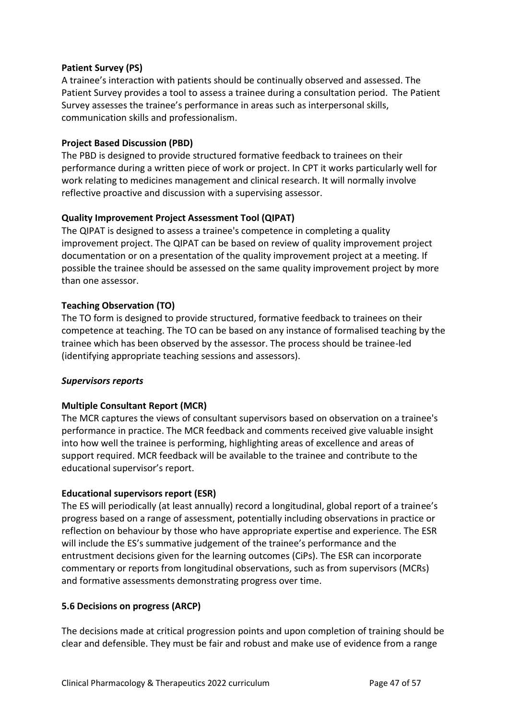# **Patient Survey (PS)**

A trainee's interaction with patients should be continually observed and assessed. The Patient Survey provides a tool to assess a trainee during a consultation period. The Patient Survey assesses the trainee's performance in areas such as interpersonal skills, communication skills and professionalism.

## **Project Based Discussion (PBD)**

The PBD is designed to provide structured formative feedback to trainees on their performance during a written piece of work or project. In CPT it works particularly well for work relating to medicines management and clinical research. It will normally involve reflective proactive and discussion with a supervising assessor.

## **Quality Improvement Project Assessment Tool (QIPAT)**

The QIPAT is designed to assess a trainee's competence in completing a quality improvement project. The QIPAT can be based on review of quality improvement project documentation or on a presentation of the quality improvement project at a meeting. If possible the trainee should be assessed on the same quality improvement project by more than one assessor.

## **Teaching Observation (TO)**

The TO form is designed to provide structured, formative feedback to trainees on their competence at teaching. The TO can be based on any instance of formalised teaching by the trainee which has been observed by the assessor. The process should be trainee-led (identifying appropriate teaching sessions and assessors).

## *Supervisors reports*

# **Multiple Consultant Report (MCR)**

The MCR captures the views of consultant supervisors based on observation on a trainee's performance in practice. The MCR feedback and comments received give valuable insight into how well the trainee is performing, highlighting areas of excellence and areas of support required. MCR feedback will be available to the trainee and contribute to the educational supervisor's report.

## **Educational supervisors report (ESR)**

The ES will periodically (at least annually) record a longitudinal, global report of a trainee's progress based on a range of assessment, potentially including observations in practice or reflection on behaviour by those who have appropriate expertise and experience. The ESR will include the ES's summative judgement of the trainee's performance and the entrustment decisions given for the learning outcomes (CiPs). The ESR can incorporate commentary or reports from longitudinal observations, such as from supervisors (MCRs) and formative assessments demonstrating progress over time.

## <span id="page-46-0"></span>**5.6 Decisions on progress (ARCP)**

The decisions made at critical progression points and upon completion of training should be clear and defensible. They must be fair and robust and make use of evidence from a range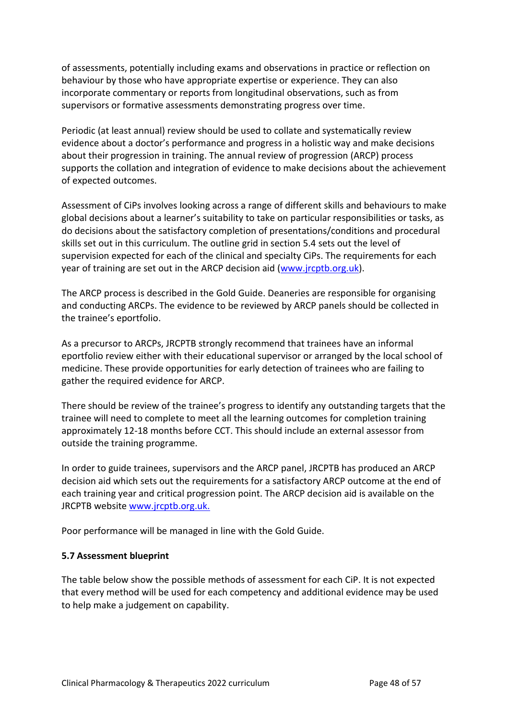of assessments, potentially including exams and observations in practice or reflection on behaviour by those who have appropriate expertise or experience. They can also incorporate commentary or reports from longitudinal observations, such as from supervisors or formative assessments demonstrating progress over time.

Periodic (at least annual) review should be used to collate and systematically review evidence about a doctor's performance and progress in a holistic way and make decisions about their progression in training. The annual review of progression (ARCP) process supports the collation and integration of evidence to make decisions about the achievement of expected outcomes.

Assessment of CiPs involves looking across a range of different skills and behaviours to make global decisions about a learner's suitability to take on particular responsibilities or tasks, as do decisions about the satisfactory completion of presentations/conditions and procedural skills set out in this curriculum. The outline grid in section 5.4 sets out the level of supervision expected for each of the clinical and specialty CiPs. The requirements for each year of training are set out in the ARCP decision aid [\(www.jrcptb.org.uk\)](http://www.jrcptb.org.uk/).

The ARCP process is described in the Gold Guide. Deaneries are responsible for organising and conducting ARCPs. The evidence to be reviewed by ARCP panels should be collected in the trainee's eportfolio.

As a precursor to ARCPs, JRCPTB strongly recommend that trainees have an informal eportfolio review either with their educational supervisor or arranged by the local school of medicine. These provide opportunities for early detection of trainees who are failing to gather the required evidence for ARCP.

There should be review of the trainee's progress to identify any outstanding targets that the trainee will need to complete to meet all the learning outcomes for completion training approximately 12-18 months before CCT. This should include an external assessor from outside the training programme.

In order to guide trainees, supervisors and the ARCP panel, JRCPTB has produced an ARCP decision aid which sets out the requirements for a satisfactory ARCP outcome at the end of each training year and critical progression point. The ARCP decision aid is available on the JRCPTB website [www.jrcptb.org.uk.](http://www.jrcptb.org.uk/)

Poor performance will be managed in line with the Gold Guide.

## <span id="page-47-0"></span>**5.7 Assessment blueprint**

The table below show the possible methods of assessment for each CiP. It is not expected that every method will be used for each competency and additional evidence may be used to help make a judgement on capability.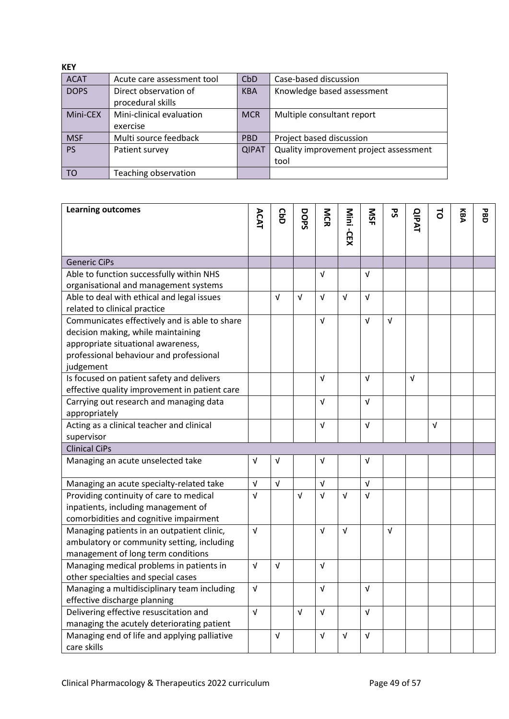| <b>KEY</b>  |                                            |                 |                                                |
|-------------|--------------------------------------------|-----------------|------------------------------------------------|
| <b>ACAT</b> | Acute care assessment tool                 | CbD             | Case-based discussion                          |
| <b>DOPS</b> | Direct observation of<br>procedural skills | <b>KBA</b>      | Knowledge based assessment                     |
| Mini-CEX    | Mini-clinical evaluation<br>exercise       | <b>MCR</b>      | Multiple consultant report                     |
| <b>MSF</b>  | Multi source feedback                      | PB <sub>D</sub> | Project based discussion                       |
| <b>PS</b>   | Patient survey                             | <b>QIPAT</b>    | Quality improvement project assessment<br>tool |
| TO          | Teaching observation                       |                 |                                                |

| <b>Learning outcomes</b>                      | ACAT       | <b>GbD</b> |            | MCR        | Nini       | SIN        | ჯ          |              | ಕ | KBA | <b>PBD</b> |
|-----------------------------------------------|------------|------------|------------|------------|------------|------------|------------|--------------|---|-----|------------|
|                                               |            |            | DOPS       |            |            |            |            | <b>QIPAT</b> |   |     |            |
|                                               |            |            |            |            | -CEX       |            |            |              |   |     |            |
|                                               |            |            |            |            |            |            |            |              |   |     |            |
| <b>Generic CiPs</b>                           |            |            |            |            |            |            |            |              |   |     |            |
| Able to function successfully within NHS      |            |            |            | $\sqrt{ }$ |            | $\sqrt{ }$ |            |              |   |     |            |
| organisational and management systems         |            |            |            |            |            |            |            |              |   |     |            |
| Able to deal with ethical and legal issues    |            | v          | $\sqrt{ }$ | $\sqrt{ }$ | $\sqrt{ }$ | $\sqrt{ }$ |            |              |   |     |            |
| related to clinical practice                  |            |            |            |            |            |            |            |              |   |     |            |
| Communicates effectively and is able to share |            |            |            | $\sqrt{ }$ |            | $\sqrt{ }$ | $\sqrt{ }$ |              |   |     |            |
| decision making, while maintaining            |            |            |            |            |            |            |            |              |   |     |            |
| appropriate situational awareness,            |            |            |            |            |            |            |            |              |   |     |            |
| professional behaviour and professional       |            |            |            |            |            |            |            |              |   |     |            |
| judgement                                     |            |            |            | $\sqrt{ }$ |            | $\sqrt{ }$ |            | $\sqrt{ }$   |   |     |            |
| Is focused on patient safety and delivers     |            |            |            |            |            |            |            |              |   |     |            |
| effective quality improvement in patient care |            |            |            | $\sqrt{ }$ |            | $\sqrt{ }$ |            |              |   |     |            |
| Carrying out research and managing data       |            |            |            |            |            |            |            |              |   |     |            |
| appropriately                                 |            |            |            | $\sqrt{ }$ |            | $\sqrt{ }$ |            |              | V |     |            |
| Acting as a clinical teacher and clinical     |            |            |            |            |            |            |            |              |   |     |            |
| supervisor<br><b>Clinical CiPs</b>            |            |            |            |            |            |            |            |              |   |     |            |
|                                               | V          | v          |            | V          |            | $\sqrt{ }$ |            |              |   |     |            |
| Managing an acute unselected take             |            |            |            |            |            |            |            |              |   |     |            |
| Managing an acute specialty-related take      | $\sqrt{ }$ | $\sqrt{ }$ |            | $\sqrt{ }$ |            | $\sqrt{ }$ |            |              |   |     |            |
| Providing continuity of care to medical       | $\sqrt{ }$ |            | $\sqrt{ }$ | $\sqrt{ }$ | $\sqrt{ }$ | $\sqrt{ }$ |            |              |   |     |            |
| inpatients, including management of           |            |            |            |            |            |            |            |              |   |     |            |
| comorbidities and cognitive impairment        |            |            |            |            |            |            |            |              |   |     |            |
| Managing patients in an outpatient clinic,    | $\sqrt{ }$ |            |            | $\sqrt{ }$ | $\sqrt{ }$ |            | $\sqrt{ }$ |              |   |     |            |
| ambulatory or community setting, including    |            |            |            |            |            |            |            |              |   |     |            |
| management of long term conditions            |            |            |            |            |            |            |            |              |   |     |            |
| Managing medical problems in patients in      | $\sqrt{ }$ | $\sqrt{ }$ |            | $\sqrt{ }$ |            |            |            |              |   |     |            |
| other specialties and special cases           |            |            |            |            |            |            |            |              |   |     |            |
| Managing a multidisciplinary team including   | $\sqrt{ }$ |            |            | ν          |            | V          |            |              |   |     |            |
| effective discharge planning                  |            |            |            |            |            |            |            |              |   |     |            |
| Delivering effective resuscitation and        |            |            | $\sqrt{ }$ | V          |            | $\sqrt{ }$ |            |              |   |     |            |
| managing the acutely deteriorating patient    |            |            |            |            |            |            |            |              |   |     |            |
| Managing end of life and applying palliative  |            | V          |            | $\sqrt{ }$ | $\sqrt{ }$ | $\sqrt{ }$ |            |              |   |     |            |
| care skills                                   |            |            |            |            |            |            |            |              |   |     |            |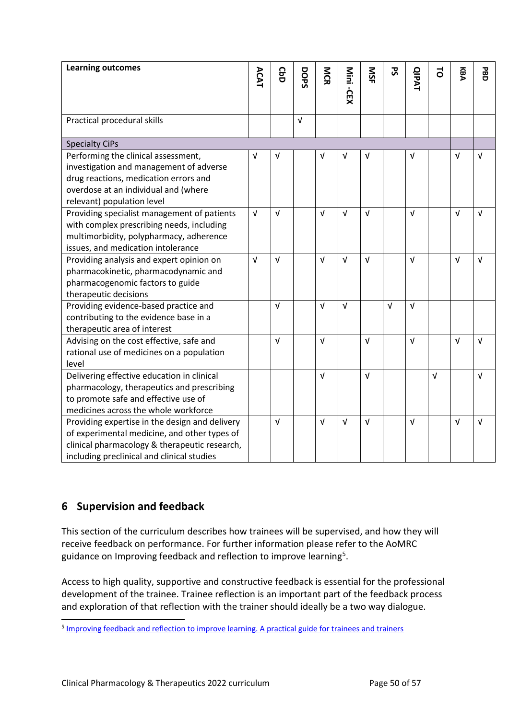| <b>Learning outcomes</b>                                                           | ACAT       | <b>GbD</b> | DOPS       | MCR        |            | SIN        | 59         | <b>QIPAT</b> | $\vec{0}$  | KBA        | <b>PBD</b> |
|------------------------------------------------------------------------------------|------------|------------|------------|------------|------------|------------|------------|--------------|------------|------------|------------|
|                                                                                    |            |            |            |            | Mini -CEX  |            |            |              |            |            |            |
|                                                                                    |            |            |            |            |            |            |            |              |            |            |            |
| Practical procedural skills                                                        |            |            | $\sqrt{ }$ |            |            |            |            |              |            |            |            |
|                                                                                    |            |            |            |            |            |            |            |              |            |            |            |
| <b>Specialty CiPs</b>                                                              |            |            |            |            |            |            |            |              |            |            |            |
| Performing the clinical assessment,                                                | $\sqrt{ }$ | $\sqrt{ }$ |            | $\sqrt{ }$ | V          | $\sqrt{ }$ |            | V            |            | $\sqrt{ }$ | $\sqrt{ }$ |
| investigation and management of adverse                                            |            |            |            |            |            |            |            |              |            |            |            |
| drug reactions, medication errors and                                              |            |            |            |            |            |            |            |              |            |            |            |
| overdose at an individual and (where                                               |            |            |            |            |            |            |            |              |            |            |            |
| relevant) population level                                                         |            |            |            |            |            |            |            |              |            |            |            |
| Providing specialist management of patients                                        | $\sqrt{ }$ | $\sqrt{ }$ |            | $\sqrt{ }$ | $\sqrt{ }$ | $\sqrt{ }$ |            | $\sqrt{ }$   |            | $\sqrt{ }$ | $\sqrt{ }$ |
| with complex prescribing needs, including                                          |            |            |            |            |            |            |            |              |            |            |            |
| multimorbidity, polypharmacy, adherence                                            |            |            |            |            |            |            |            |              |            |            |            |
| issues, and medication intolerance                                                 |            |            |            |            |            |            |            |              |            |            |            |
| Providing analysis and expert opinion on                                           | $\sqrt{ }$ | $\sqrt{ }$ |            | $\sqrt{ }$ | $\sqrt{ }$ | $\sqrt{ }$ |            | $\sqrt{ }$   |            | $\sqrt{ }$ | $\sqrt{ }$ |
| pharmacokinetic, pharmacodynamic and                                               |            |            |            |            |            |            |            |              |            |            |            |
| pharmacogenomic factors to guide                                                   |            |            |            |            |            |            |            |              |            |            |            |
| therapeutic decisions                                                              |            |            |            |            |            |            |            |              |            |            |            |
| Providing evidence-based practice and                                              |            | $\sqrt{ }$ |            | $\sqrt{ }$ | $\sqrt{ }$ |            | $\sqrt{ }$ | $\sqrt{ }$   |            |            |            |
| contributing to the evidence base in a                                             |            |            |            |            |            |            |            |              |            |            |            |
| therapeutic area of interest                                                       |            |            |            |            |            |            |            |              |            |            |            |
| Advising on the cost effective, safe and                                           |            | $\sqrt{ }$ |            | $\sqrt{ }$ |            | $\sqrt{ }$ |            | $\sqrt{ }$   |            | $\sqrt{ }$ | $\sqrt{ }$ |
| rational use of medicines on a population                                          |            |            |            |            |            |            |            |              |            |            |            |
| level                                                                              |            |            |            |            |            |            |            |              |            |            |            |
| Delivering effective education in clinical                                         |            |            |            | $\sqrt{ }$ |            | $\sqrt{ }$ |            |              | $\sqrt{ }$ |            | $\sqrt{ }$ |
| pharmacology, therapeutics and prescribing<br>to promote safe and effective use of |            |            |            |            |            |            |            |              |            |            |            |
|                                                                                    |            |            |            |            |            |            |            |              |            |            |            |
| medicines across the whole workforce                                               |            |            |            |            |            |            |            |              |            |            |            |
| Providing expertise in the design and delivery                                     |            | $\sqrt{ }$ |            | $\sqrt{ }$ | $\sqrt{ }$ | $\sqrt{ }$ |            | $\sqrt{ }$   |            | $\sqrt{ }$ | $\sqrt{ }$ |
| of experimental medicine, and other types of                                       |            |            |            |            |            |            |            |              |            |            |            |
| clinical pharmacology & therapeutic research,                                      |            |            |            |            |            |            |            |              |            |            |            |
| including preclinical and clinical studies                                         |            |            |            |            |            |            |            |              |            |            |            |

# <span id="page-49-0"></span>**6 Supervision and feedback**

This section of the curriculum describes how trainees will be supervised, and how they will receive feedback on performance. For further information please refer to the AoMRC guidance on Improving feedback and reflection to improve learning<sup>5</sup>.

Access to high quality, supportive and constructive feedback is essential for the professional development of the trainee. Trainee reflection is an important part of the feedback process and exploration of that reflection with the trainer should ideally be a two way dialogue.

<sup>&</sup>lt;sup>5</sup> [Improving feedback and reflection to improve learning. A practical guide for trainees and trainers](http://www.aomrc.org.uk/publications/reports-guidance/improving-feedback-reflection-improve-learning-practical-guide-trainees-trainers/)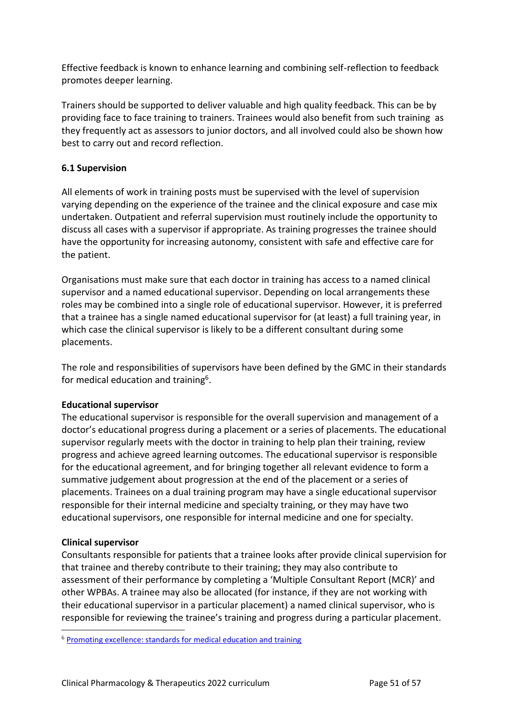Effective feedback is known to enhance learning and combining self-reflection to feedback promotes deeper learning.

Trainers should be supported to deliver valuable and high quality feedback. This can be by providing face to face training to trainers. Trainees would also benefit from such training as they frequently act as assessors to junior doctors, and all involved could also be shown how best to carry out and record reflection.

# <span id="page-50-0"></span>**6.1 Supervision**

All elements of work in training posts must be supervised with the level of supervision varying depending on the experience of the trainee and the clinical exposure and case mix undertaken. Outpatient and referral supervision must routinely include the opportunity to discuss all cases with a supervisor if appropriate. As training progresses the trainee should have the opportunity for increasing autonomy, consistent with safe and effective care for the patient.

Organisations must make sure that each doctor in training has access to a named clinical supervisor and a named educational supervisor. Depending on local arrangements these roles may be combined into a single role of educational supervisor. However, it is preferred that a trainee has a single named educational supervisor for (at least) a full training year, in which case the clinical supervisor is likely to be a different consultant during some placements.

The role and responsibilities of supervisors have been defined by the GMC in their standards for medical education and training<sup>6</sup>.

## **Educational supervisor**

The educational supervisor is responsible for the overall supervision and management of a doctor's educational progress during a placement or a series of placements. The educational supervisor regularly meets with the doctor in training to help plan their training, review progress and achieve agreed learning outcomes. The educational supervisor is responsible for the educational agreement, and for bringing together all relevant evidence to form a summative judgement about progression at the end of the placement or a series of placements. Trainees on a dual training program may have a single educational supervisor responsible for their internal medicine and specialty training, or they may have two educational supervisors, one responsible for internal medicine and one for specialty.

## **Clinical supervisor**

Consultants responsible for patients that a trainee looks after provide clinical supervision for that trainee and thereby contribute to their training; they may also contribute to assessment of their performance by completing a 'Multiple Consultant Report (MCR)' and other WPBAs. A trainee may also be allocated (for instance, if they are not working with their educational supervisor in a particular placement) a named clinical supervisor, who is responsible for reviewing the trainee's training and progress during a particular placement.

<sup>6</sup> [Promoting excellence: standards for medical education and training](http://www.gmc-uk.org/education/standards.asp)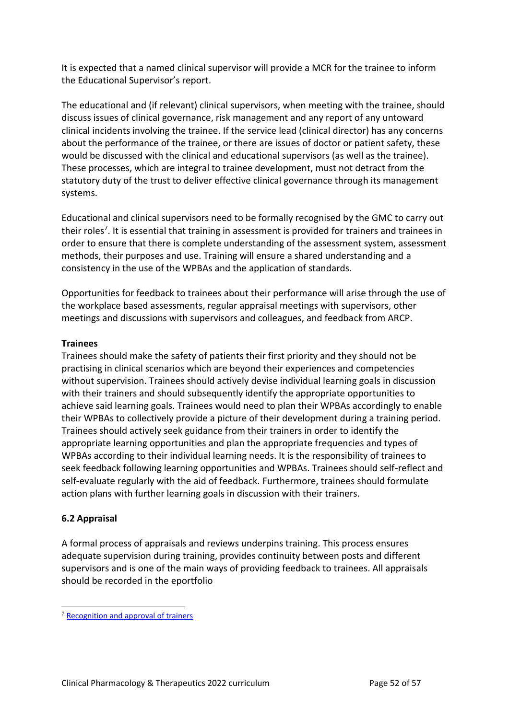It is expected that a named clinical supervisor will provide a MCR for the trainee to inform the Educational Supervisor's report.

The educational and (if relevant) clinical supervisors, when meeting with the trainee, should discuss issues of clinical governance, risk management and any report of any untoward clinical incidents involving the trainee. If the service lead (clinical director) has any concerns about the performance of the trainee, or there are issues of doctor or patient safety, these would be discussed with the clinical and educational supervisors (as well as the trainee). These processes, which are integral to trainee development, must not detract from the statutory duty of the trust to deliver effective clinical governance through its management systems.

Educational and clinical supervisors need to be formally recognised by the GMC to carry out their roles<sup>7</sup>. It is essential that training in assessment is provided for trainers and trainees in order to ensure that there is complete understanding of the assessment system, assessment methods, their purposes and use. Training will ensure a shared understanding and a consistency in the use of the WPBAs and the application of standards.

Opportunities for feedback to trainees about their performance will arise through the use of the workplace based assessments, regular appraisal meetings with supervisors, other meetings and discussions with supervisors and colleagues, and feedback from ARCP.

## **Trainees**

Trainees should make the safety of patients their first priority and they should not be practising in clinical scenarios which are beyond their experiences and competencies without supervision. Trainees should actively devise individual learning goals in discussion with their trainers and should subsequently identify the appropriate opportunities to achieve said learning goals. Trainees would need to plan their WPBAs accordingly to enable their WPBAs to collectively provide a picture of their development during a training period. Trainees should actively seek guidance from their trainers in order to identify the appropriate learning opportunities and plan the appropriate frequencies and types of WPBAs according to their individual learning needs. It is the responsibility of trainees to seek feedback following learning opportunities and WPBAs. Trainees should self-reflect and self-evaluate regularly with the aid of feedback. Furthermore, trainees should formulate action plans with further learning goals in discussion with their trainers.

# <span id="page-51-0"></span>**6.2 Appraisal**

A formal process of appraisals and reviews underpins training. This process ensures adequate supervision during training, provides continuity between posts and different supervisors and is one of the main ways of providing feedback to trainees. All appraisals should be recorded in the eportfolio

<sup>7</sup> [Recognition and approval of trainers](http://www.gmc-uk.org/education/10264.asp)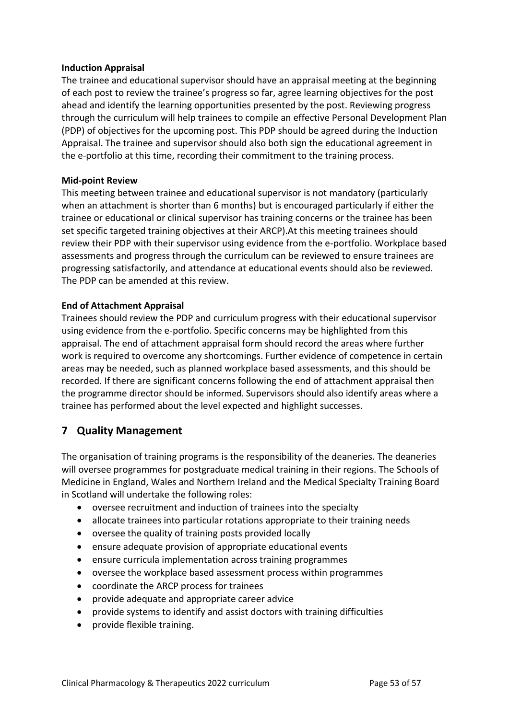## **Induction Appraisal**

The trainee and educational supervisor should have an appraisal meeting at the beginning of each post to review the trainee's progress so far, agree learning objectives for the post ahead and identify the learning opportunities presented by the post. Reviewing progress through the curriculum will help trainees to compile an effective Personal Development Plan (PDP) of objectives for the upcoming post. This PDP should be agreed during the Induction Appraisal. The trainee and supervisor should also both sign the educational agreement in the e-portfolio at this time, recording their commitment to the training process.

#### **Mid-point Review**

This meeting between trainee and educational supervisor is not mandatory (particularly when an attachment is shorter than 6 months) but is encouraged particularly if either the trainee or educational or clinical supervisor has training concerns or the trainee has been set specific targeted training objectives at their ARCP).At this meeting trainees should review their PDP with their supervisor using evidence from the e-portfolio. Workplace based assessments and progress through the curriculum can be reviewed to ensure trainees are progressing satisfactorily, and attendance at educational events should also be reviewed. The PDP can be amended at this review.

## **End of Attachment Appraisal**

Trainees should review the PDP and curriculum progress with their educational supervisor using evidence from the e-portfolio. Specific concerns may be highlighted from this appraisal. The end of attachment appraisal form should record the areas where further work is required to overcome any shortcomings. Further evidence of competence in certain areas may be needed, such as planned workplace based assessments, and this should be recorded. If there are significant concerns following the end of attachment appraisal then the programme director should be informed. Supervisors should also identify areas where a trainee has performed about the level expected and highlight successes.

# <span id="page-52-0"></span>**7 Quality Management**

The organisation of training programs is the responsibility of the deaneries. The deaneries will oversee programmes for postgraduate medical training in their regions. The Schools of Medicine in England, Wales and Northern Ireland and the Medical Specialty Training Board in Scotland will undertake the following roles:

- oversee recruitment and induction of trainees into the specialty
- allocate trainees into particular rotations appropriate to their training needs
- oversee the quality of training posts provided locally
- ensure adequate provision of appropriate educational events
- ensure curricula implementation across training programmes
- oversee the workplace based assessment process within programmes
- coordinate the ARCP process for trainees
- provide adequate and appropriate career advice
- provide systems to identify and assist doctors with training difficulties
- provide flexible training.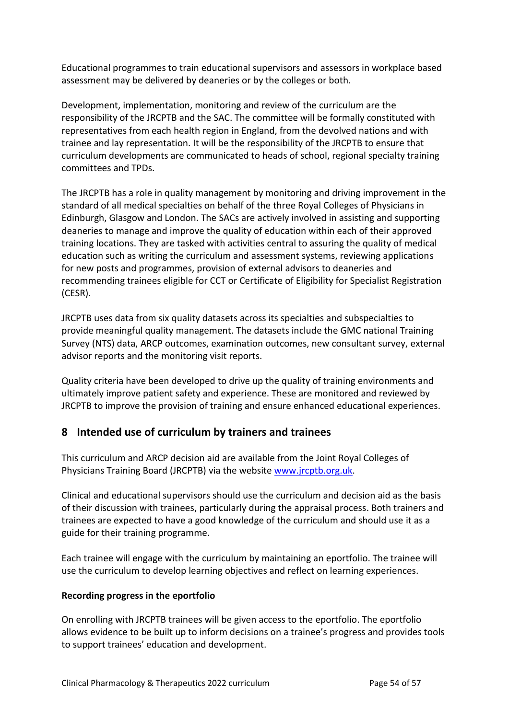Educational programmes to train educational supervisors and assessors in workplace based assessment may be delivered by deaneries or by the colleges or both.

Development, implementation, monitoring and review of the curriculum are the responsibility of the JRCPTB and the SAC. The committee will be formally constituted with representatives from each health region in England, from the devolved nations and with trainee and lay representation. It will be the responsibility of the JRCPTB to ensure that curriculum developments are communicated to heads of school, regional specialty training committees and TPDs.

The JRCPTB has a role in quality management by monitoring and driving improvement in the standard of all medical specialties on behalf of the three Royal Colleges of Physicians in Edinburgh, Glasgow and London. The SACs are actively involved in assisting and supporting deaneries to manage and improve the quality of education within each of their approved training locations. They are tasked with activities central to assuring the quality of medical education such as writing the curriculum and assessment systems, reviewing applications for new posts and programmes, provision of external advisors to deaneries and recommending trainees eligible for CCT or Certificate of Eligibility for Specialist Registration (CESR).

JRCPTB uses data from six quality datasets across its specialties and subspecialties to provide meaningful quality management. The datasets include the GMC national Training Survey (NTS) data, ARCP outcomes, examination outcomes, new consultant survey, external advisor reports and the monitoring visit reports.

Quality criteria have been developed to drive up the quality of training environments and ultimately improve patient safety and experience. These are monitored and reviewed by JRCPTB to improve the provision of training and ensure enhanced educational experiences.

# <span id="page-53-0"></span>**8 Intended use of curriculum by trainers and trainees**

This curriculum and ARCP decision aid are available from the Joint Royal Colleges of Physicians Training Board (JRCPTB) via the websit[e www.jrcptb.org.uk.](http://www.jrcptb.org.uk/)

Clinical and educational supervisors should use the curriculum and decision aid as the basis of their discussion with trainees, particularly during the appraisal process. Both trainers and trainees are expected to have a good knowledge of the curriculum and should use it as a guide for their training programme.

Each trainee will engage with the curriculum by maintaining an eportfolio. The trainee will use the curriculum to develop learning objectives and reflect on learning experiences.

# **Recording progress in the eportfolio**

On enrolling with JRCPTB trainees will be given access to the eportfolio. The eportfolio allows evidence to be built up to inform decisions on a trainee's progress and provides tools to support trainees' education and development.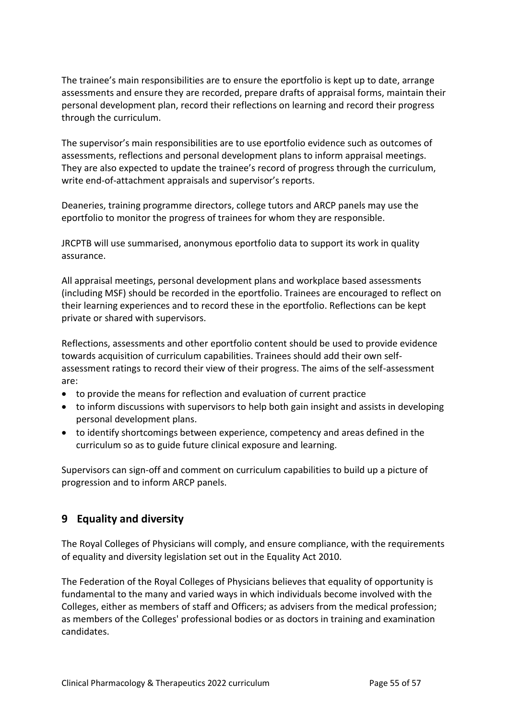The trainee's main responsibilities are to ensure the eportfolio is kept up to date, arrange assessments and ensure they are recorded, prepare drafts of appraisal forms, maintain their personal development plan, record their reflections on learning and record their progress through the curriculum.

The supervisor's main responsibilities are to use eportfolio evidence such as outcomes of assessments, reflections and personal development plans to inform appraisal meetings. They are also expected to update the trainee's record of progress through the curriculum, write end-of-attachment appraisals and supervisor's reports.

Deaneries, training programme directors, college tutors and ARCP panels may use the eportfolio to monitor the progress of trainees for whom they are responsible.

JRCPTB will use summarised, anonymous eportfolio data to support its work in quality assurance.

All appraisal meetings, personal development plans and workplace based assessments (including MSF) should be recorded in the eportfolio. Trainees are encouraged to reflect on their learning experiences and to record these in the eportfolio. Reflections can be kept private or shared with supervisors.

Reflections, assessments and other eportfolio content should be used to provide evidence towards acquisition of curriculum capabilities. Trainees should add their own selfassessment ratings to record their view of their progress. The aims of the self-assessment are:

- to provide the means for reflection and evaluation of current practice
- to inform discussions with supervisors to help both gain insight and assists in developing personal development plans.
- to identify shortcomings between experience, competency and areas defined in the curriculum so as to guide future clinical exposure and learning.

Supervisors can sign-off and comment on curriculum capabilities to build up a picture of progression and to inform ARCP panels.

# <span id="page-54-0"></span>**9 Equality and diversity**

The Royal Colleges of Physicians will comply, and ensure compliance, with the requirements of equality and diversity legislation set out in the Equality Act 2010.

The Federation of the Royal Colleges of Physicians believes that equality of opportunity is fundamental to the many and varied ways in which individuals become involved with the Colleges, either as members of staff and Officers; as advisers from the medical profession; as members of the Colleges' professional bodies or as doctors in training and examination candidates.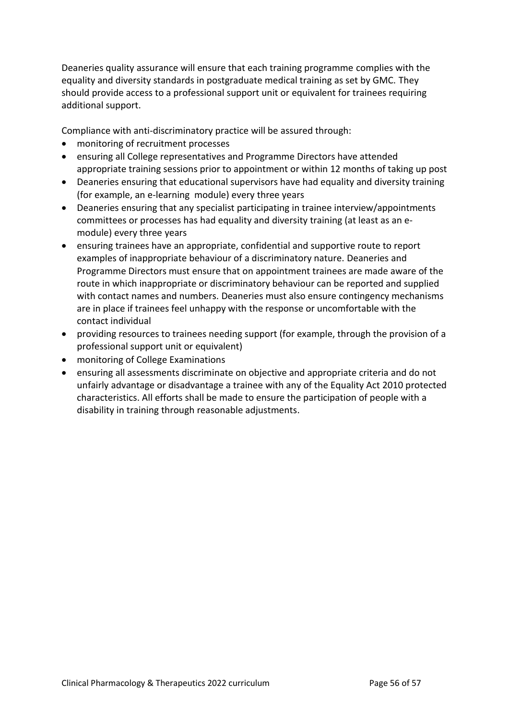Deaneries quality assurance will ensure that each training programme complies with the equality and diversity standards in postgraduate medical training as set by GMC. They should provide access to a professional support unit or equivalent for trainees requiring additional support.

Compliance with anti-discriminatory practice will be assured through:

- monitoring of recruitment processes
- ensuring all College representatives and Programme Directors have attended appropriate training sessions prior to appointment or within 12 months of taking up post
- Deaneries ensuring that educational supervisors have had equality and diversity training (for example, an e-learning module) every three years
- Deaneries ensuring that any specialist participating in trainee interview/appointments committees or processes has had equality and diversity training (at least as an emodule) every three years
- ensuring trainees have an appropriate, confidential and supportive route to report examples of inappropriate behaviour of a discriminatory nature. Deaneries and Programme Directors must ensure that on appointment trainees are made aware of the route in which inappropriate or discriminatory behaviour can be reported and supplied with contact names and numbers. Deaneries must also ensure contingency mechanisms are in place if trainees feel unhappy with the response or uncomfortable with the contact individual
- providing resources to trainees needing support (for example, through the provision of a professional support unit or equivalent)
- monitoring of College Examinations
- ensuring all assessments discriminate on objective and appropriate criteria and do not unfairly advantage or disadvantage a trainee with any of the Equality Act 2010 protected characteristics. All efforts shall be made to ensure the participation of people with a disability in training through reasonable adjustments.